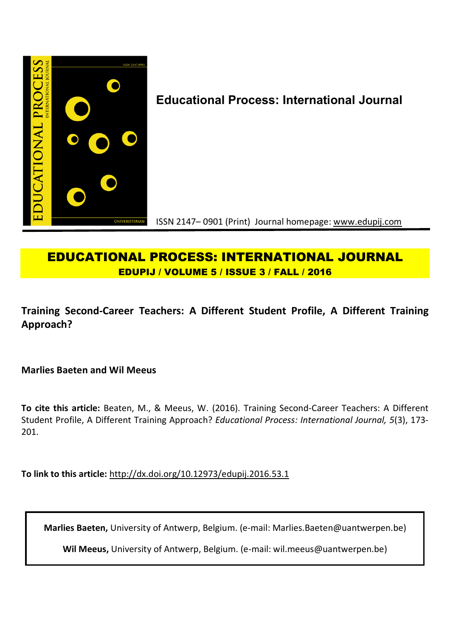

# **EDUCATIONAL PROCESS: INTERNATIONAL JOURNAL EDUPIJ / VOLUME 5 / ISSUE 3 / FALL / 2016**

# **Training Second-Career Teachers: A Different Student Profile, A Different Training Approach?**

**Marlies Baeten and Wil Meeus**

**To cite this article:** Beaten, M., & Meeus, W. (2016). Training Second-Career Teachers: A Different Student Profile, A Different Training Approach? *Educational Process: International Journal, 5*(3), 173- 201.

**To link to this article:** http://dx.doi.org/10.12973/edupij.2016.53.1

**Marlies Baeten,** University of Antwerp, Belgium. (e-mail: Marlies.Baeten@uantwerpen.be)

**Wil Meeus,** University of Antwerp, Belgium. (e-mail: wil.meeus@uantwerpen.be)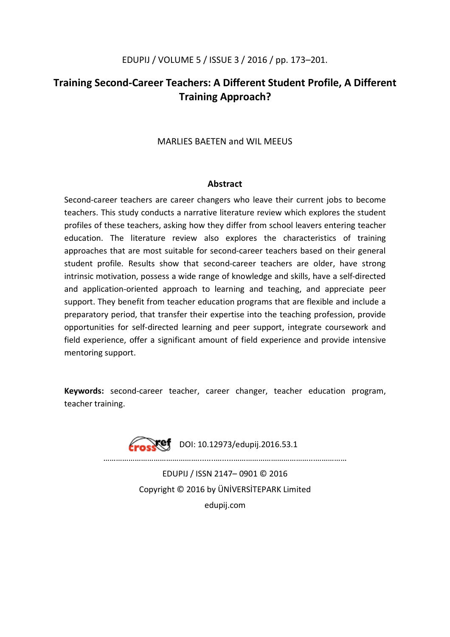# **Training Second-Career Teachers: A Different Student Profile, A Different Training Approach?**

## MARLIES BAETEN and WIL MEEUS

### **Abstract**

Second-career teachers are career changers who leave their current jobs to become teachers. This study conducts a narrative literature review which explores the student profiles of these teachers, asking how they differ from school leavers entering teacher education. The literature review also explores the characteristics of training approaches that are most suitable for second-career teachers based on their general student profile. Results show that second-career teachers are older, have strong intrinsic motivation, possess a wide range of knowledge and skills, have a self-directed and application-oriented approach to learning and teaching, and appreciate peer support. They benefit from teacher education programs that are flexible and include a preparatory period, that transfer their expertise into the teaching profession, provide opportunities for self-directed learning and peer support, integrate coursework and field experience, offer a significant amount of field experience and provide intensive mentoring support.

**Keywords:** second-career teacher, career changer, teacher education program, teacher training.

 $Xef$  DOI: 10.12973/edupij.2016.53.1

………………………………………........….....………………………………...……………

EDUPIJ / ISSN 2147– 0901 © 2016 Copyright © 2016 by ÜNİVERSİTEPARK Limited edupij.com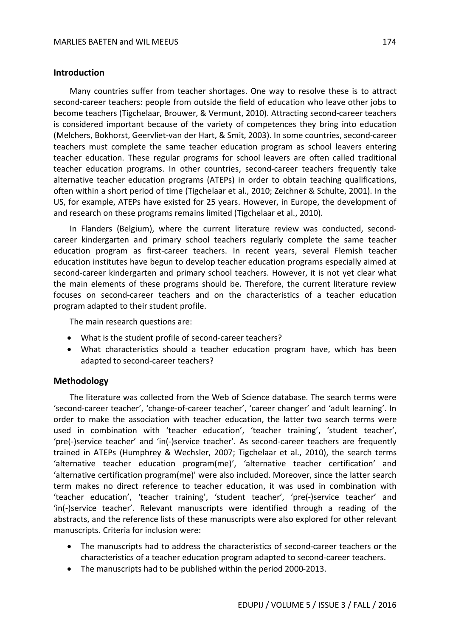### **Introduction**

Many countries suffer from teacher shortages. One way to resolve these is to attract second-career teachers: people from outside the field of education who leave other jobs to become teachers (Tigchelaar, Brouwer, & Vermunt, 2010). Attracting second-career teachers is considered important because of the variety of competences they bring into education (Melchers, Bokhorst, Geervliet-van der Hart, & Smit, 2003). In some countries, second-career teachers must complete the same teacher education program as school leavers entering teacher education. These regular programs for school leavers are often called traditional teacher education programs. In other countries, second-career teachers frequently take alternative teacher education programs (ATEPs) in order to obtain teaching qualifications, often within a short period of time (Tigchelaar et al., 2010; Zeichner & Schulte, 2001). In the US, for example, ATEPs have existed for 25 years. However, in Europe, the development of and research on these programs remains limited (Tigchelaar et al., 2010).

In Flanders (Belgium), where the current literature review was conducted, secondcareer kindergarten and primary school teachers regularly complete the same teacher education program as first-career teachers. In recent years, several Flemish teacher education institutes have begun to develop teacher education programs especially aimed at second-career kindergarten and primary school teachers. However, it is not yet clear what the main elements of these programs should be. Therefore, the current literature review focuses on second-career teachers and on the characteristics of a teacher education program adapted to their student profile.

The main research questions are:

- What is the student profile of second-career teachers?
- What characteristics should a teacher education program have, which has been adapted to second-career teachers?

### **Methodology**

The literature was collected from the Web of Science database. The search terms were 'second-career teacher', 'change-of-career teacher', 'career changer' and 'adult learning'. In order to make the association with teacher education, the latter two search terms were used in combination with 'teacher education', 'teacher training', 'student teacher', 'pre(-)service teacher' and 'in(-)service teacher'. As second-career teachers are frequently trained in ATEPs (Humphrey & Wechsler, 2007; Tigchelaar et al., 2010), the search terms 'alternative teacher education program(me)', 'alternative teacher certification' and 'alternative certification program(me)' were also included. Moreover, since the latter search term makes no direct reference to teacher education, it was used in combination with 'teacher education', 'teacher training', 'student teacher', 'pre(-)service teacher' and 'in(-)service teacher'. Relevant manuscripts were identified through a reading of the abstracts, and the reference lists of these manuscripts were also explored for other relevant manuscripts. Criteria for inclusion were:

- The manuscripts had to address the characteristics of second-career teachers or the characteristics of a teacher education program adapted to second-career teachers.
- The manuscripts had to be published within the period 2000-2013.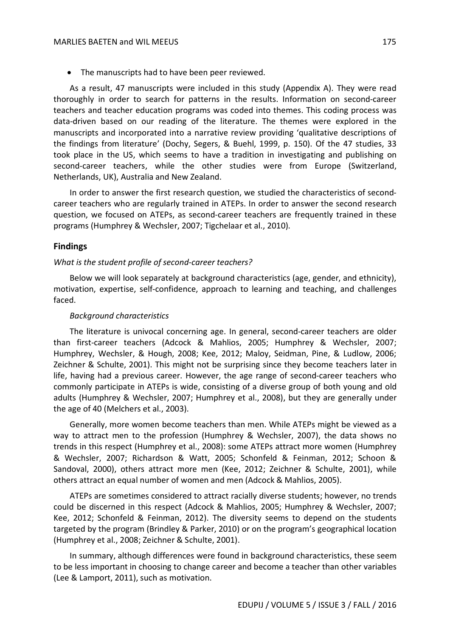The manuscripts had to have been peer reviewed.

As a result, 47 manuscripts were included in this study (Appendix A). They were read thoroughly in order to search for patterns in the results. Information on second-career teachers and teacher education programs was coded into themes. This coding process was data-driven based on our reading of the literature. The themes were explored in the manuscripts and incorporated into a narrative review providing 'qualitative descriptions of the findings from literature' (Dochy, Segers, & Buehl, 1999, p. 150). Of the 47 studies, 33 took place in the US, which seems to have a tradition in investigating and publishing on second-career teachers, while the other studies were from Europe (Switzerland, Netherlands, UK), Australia and New Zealand.

In order to answer the first research question, we studied the characteristics of secondcareer teachers who are regularly trained in ATEPs. In order to answer the second research question, we focused on ATEPs, as second-career teachers are frequently trained in these programs (Humphrey & Wechsler, 2007; Tigchelaar et al., 2010).

### **Findings**

### *What is the student profile of second-career teachers?*

Below we will look separately at background characteristics (age, gender, and ethnicity), motivation, expertise, self-confidence, approach to learning and teaching, and challenges faced.

#### *Background characteristics*

The literature is univocal concerning age. In general, second-career teachers are older than first-career teachers (Adcock & Mahlios, 2005; Humphrey & Wechsler, 2007; Humphrey, Wechsler, & Hough, 2008; Kee, 2012; Maloy, Seidman, Pine, & Ludlow, 2006; Zeichner & Schulte, 2001). This might not be surprising since they become teachers later in life, having had a previous career. However, the age range of second-career teachers who commonly participate in ATEPs is wide, consisting of a diverse group of both young and old adults (Humphrey & Wechsler, 2007; Humphrey et al., 2008), but they are generally under the age of 40 (Melchers et al., 2003).

Generally, more women become teachers than men. While ATEPs might be viewed as a way to attract men to the profession (Humphrey & Wechsler, 2007), the data shows no trends in this respect (Humphrey et al., 2008): some ATEPs attract more women (Humphrey & Wechsler, 2007; Richardson & Watt, 2005; Schonfeld & Feinman, 2012; Schoon & Sandoval, 2000), others attract more men (Kee, 2012; Zeichner & Schulte, 2001), while others attract an equal number of women and men (Adcock & Mahlios, 2005).

ATEPs are sometimes considered to attract racially diverse students; however, no trends could be discerned in this respect (Adcock & Mahlios, 2005; Humphrey & Wechsler, 2007; Kee, 2012; Schonfeld & Feinman, 2012). The diversity seems to depend on the students targeted by the program (Brindley & Parker, 2010) or on the program's geographical location (Humphrey et al., 2008; Zeichner & Schulte, 2001).

In summary, although differences were found in background characteristics, these seem to be less important in choosing to change career and become a teacher than other variables (Lee & Lamport, 2011), such as motivation.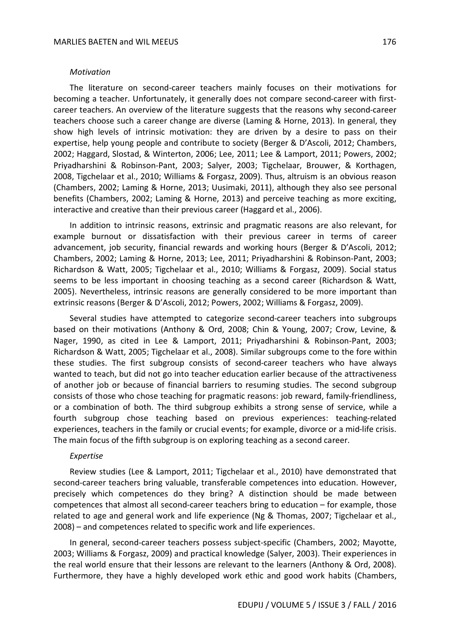#### *Motivation*

The literature on second-career teachers mainly focuses on their motivations for becoming a teacher. Unfortunately, it generally does not compare second-career with firstcareer teachers. An overview of the literature suggests that the reasons why second-career teachers choose such a career change are diverse (Laming & Horne, 2013). In general, they show high levels of intrinsic motivation: they are driven by a desire to pass on their expertise, help young people and contribute to society (Berger & D'Ascoli, 2012; Chambers, 2002; Haggard, Slostad, & Winterton, 2006; Lee, 2011; Lee & Lamport, 2011; Powers, 2002; Priyadharshini & Robinson-Pant, 2003; Salyer, 2003; Tigchelaar, Brouwer, & Korthagen, 2008, Tigchelaar et al., 2010; Williams & Forgasz, 2009). Thus, altruism is an obvious reason (Chambers, 2002; Laming & Horne, 2013; Uusimaki, 2011), although they also see personal benefits (Chambers, 2002; Laming & Horne, 2013) and perceive teaching as more exciting, interactive and creative than their previous career (Haggard et al., 2006).

In addition to intrinsic reasons, extrinsic and pragmatic reasons are also relevant, for example burnout or dissatisfaction with their previous career in terms of career advancement, job security, financial rewards and working hours (Berger & D'Ascoli, 2012; Chambers, 2002; Laming & Horne, 2013; Lee, 2011; Priyadharshini & Robinson-Pant, 2003; Richardson & Watt, 2005; Tigchelaar et al., 2010; Williams & Forgasz, 2009). Social status seems to be less important in choosing teaching as a second career (Richardson & Watt, 2005). Nevertheless, intrinsic reasons are generally considered to be more important than extrinsic reasons (Berger & D'Ascoli, 2012; Powers, 2002; Williams & Forgasz, 2009).

Several studies have attempted to categorize second-career teachers into subgroups based on their motivations (Anthony & Ord, 2008; Chin & Young, 2007; Crow, Levine, & Nager, 1990, as cited in Lee & Lamport, 2011; Priyadharshini & Robinson-Pant, 2003; Richardson & Watt, 2005; Tigchelaar et al., 2008). Similar subgroups come to the fore within these studies. The first subgroup consists of second-career teachers who have always wanted to teach, but did not go into teacher education earlier because of the attractiveness of another job or because of financial barriers to resuming studies. The second subgroup consists of those who chose teaching for pragmatic reasons: job reward, family-friendliness, or a combination of both. The third subgroup exhibits a strong sense of service, while a fourth subgroup chose teaching based on previous experiences: teaching-related experiences, teachers in the family or crucial events; for example, divorce or a mid-life crisis. The main focus of the fifth subgroup is on exploring teaching as a second career.

#### *Expertise*

Review studies (Lee & Lamport, 2011; Tigchelaar et al., 2010) have demonstrated that second-career teachers bring valuable, transferable competences into education. However, precisely which competences do they bring? A distinction should be made between competences that almost all second-career teachers bring to education – for example, those related to age and general work and life experience (Ng & Thomas, 2007; Tigchelaar et al., 2008) – and competences related to specific work and life experiences.

In general, second-career teachers possess subject-specific (Chambers, 2002; Mayotte, 2003; Williams & Forgasz, 2009) and practical knowledge (Salyer, 2003). Their experiences in the real world ensure that their lessons are relevant to the learners (Anthony & Ord, 2008). Furthermore, they have a highly developed work ethic and good work habits (Chambers,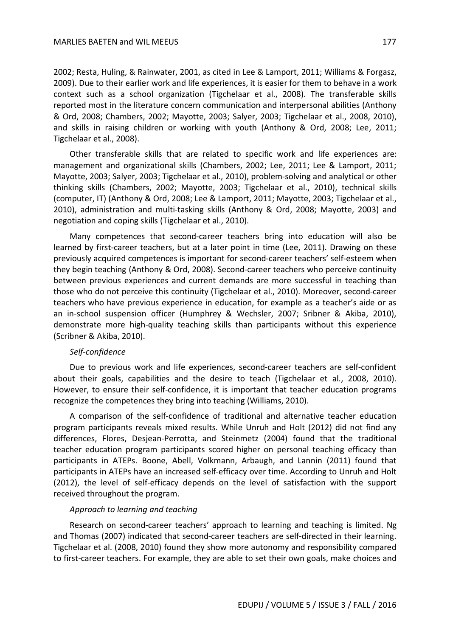2002; Resta, Huling, & Rainwater, 2001, as cited in Lee & Lamport, 2011; Williams & Forgasz, 2009). Due to their earlier work and life experiences, it is easier for them to behave in a work context such as a school organization (Tigchelaar et al., 2008). The transferable skills reported most in the literature concern communication and interpersonal abilities (Anthony & Ord, 2008; Chambers, 2002; Mayotte, 2003; Salyer, 2003; Tigchelaar et al., 2008, 2010), and skills in raising children or working with youth (Anthony & Ord, 2008; Lee, 2011; Tigchelaar et al., 2008).

Other transferable skills that are related to specific work and life experiences are: management and organizational skills (Chambers, 2002; Lee, 2011; Lee & Lamport, 2011; Mayotte, 2003; Salyer, 2003; Tigchelaar et al., 2010), problem-solving and analytical or other thinking skills (Chambers, 2002; Mayotte, 2003; Tigchelaar et al., 2010), technical skills (computer, IT) (Anthony & Ord, 2008; Lee & Lamport, 2011; Mayotte, 2003; Tigchelaar et al., 2010), administration and multi-tasking skills (Anthony & Ord, 2008; Mayotte, 2003) and negotiation and coping skills (Tigchelaar et al., 2010).

Many competences that second-career teachers bring into education will also be learned by first-career teachers, but at a later point in time (Lee, 2011). Drawing on these previously acquired competences is important for second-career teachers' self-esteem when they begin teaching (Anthony & Ord, 2008). Second-career teachers who perceive continuity between previous experiences and current demands are more successful in teaching than those who do not perceive this continuity (Tigchelaar et al., 2010). Moreover, second-career teachers who have previous experience in education, for example as a teacher's aide or as an in-school suspension officer (Humphrey & Wechsler, 2007; Sribner & Akiba, 2010), demonstrate more high-quality teaching skills than participants without this experience (Scribner & Akiba, 2010).

### *Self-confidence*

Due to previous work and life experiences, second-career teachers are self-confident about their goals, capabilities and the desire to teach (Tigchelaar et al., 2008, 2010). However, to ensure their self-confidence, it is important that teacher education programs recognize the competences they bring into teaching (Williams, 2010).

A comparison of the self-confidence of traditional and alternative teacher education program participants reveals mixed results. While Unruh and Holt (2012) did not find any differences, Flores, Desjean-Perrotta, and Steinmetz (2004) found that the traditional teacher education program participants scored higher on personal teaching efficacy than participants in ATEPs. Boone, Abell, Volkmann, Arbaugh, and Lannin (2011) found that participants in ATEPs have an increased self-efficacy over time. According to Unruh and Holt (2012), the level of self-efficacy depends on the level of satisfaction with the support received throughout the program.

### *Approach to learning and teaching*

Research on second-career teachers' approach to learning and teaching is limited. Ng and Thomas (2007) indicated that second-career teachers are self-directed in their learning. Tigchelaar et al. (2008, 2010) found they show more autonomy and responsibility compared to first-career teachers. For example, they are able to set their own goals, make choices and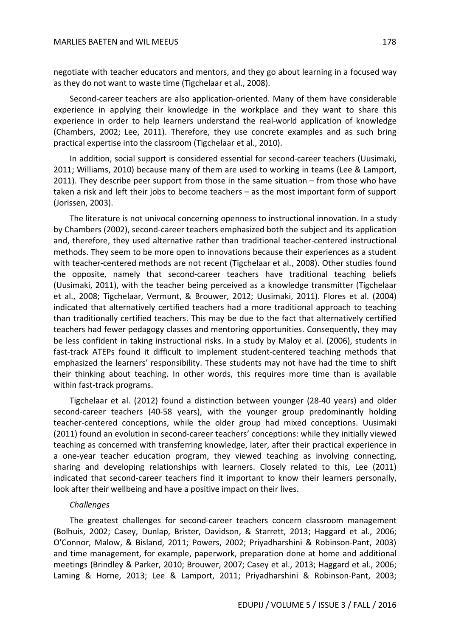negotiate with teacher educators and mentors, and they go about learning in a focused way as they do not want to waste time (Tigchelaar et al., 2008).

Second-career teachers are also application-oriented. Many of them have considerable experience in applying their knowledge in the workplace and they want to share this experience in order to help learners understand the real-world application of knowledge (Chambers, 2002; Lee, 2011). Therefore, they use concrete examples and as such bring practical expertise into the classroom (Tigchelaar et al., 2010).

In addition, social support is considered essential for second-career teachers (Uusimaki, 2011; Williams, 2010) because many of them are used to working in teams (Lee & Lamport, 2011). They describe peer support from those in the same situation – from those who have taken a risk and left their jobs to become teachers – as the most important form of support (Jorissen, 2003).

The literature is not univocal concerning openness to instructional innovation. In a study by Chambers (2002), second-career teachers emphasized both the subject and its application and, therefore, they used alternative rather than traditional teacher-centered instructional methods. They seem to be more open to innovations because their experiences as a student with teacher-centered methods are not recent (Tigchelaar et al., 2008). Other studies found the opposite, namely that second-career teachers have traditional teaching beliefs (Uusimaki, 2011), with the teacher being perceived as a knowledge transmitter (Tigchelaar et al., 2008; Tigchelaar, Vermunt, & Brouwer, 2012; Uusimaki, 2011). Flores et al. (2004) indicated that alternatively certified teachers had a more traditional approach to teaching than traditionally certified teachers. This may be due to the fact that alternatively certified teachers had fewer pedagogy classes and mentoring opportunities. Consequently, they may be less confident in taking instructional risks. In a study by Maloy et al. (2006), students in fast-track ATEPs found it difficult to implement student-centered teaching methods that emphasized the learners' responsibility. These students may not have had the time to shift their thinking about teaching. In other words, this requires more time than is available within fast-track programs.

Tigchelaar et al. (2012) found a distinction between younger (28-40 years) and older second-career teachers (40-58 years), with the younger group predominantly holding teacher-centered conceptions, while the older group had mixed conceptions. Uusimaki (2011) found an evolution in second-career teachers' conceptions: while they initially viewed teaching as concerned with transferring knowledge, later, after their practical experience in a one-year teacher education program, they viewed teaching as involving connecting, sharing and developing relationships with learners. Closely related to this, Lee (2011) indicated that second-career teachers find it important to know their learners personally, look after their wellbeing and have a positive impact on their lives.

#### *Challenges*

The greatest challenges for second-career teachers concern classroom management (Bolhuis, 2002; Casey, Dunlap, Brister, Davidson, & Starrett, 2013; Haggard et al., 2006; O'Connor, Malow, & Bisland, 2011; Powers, 2002; Priyadharshini & Robinson-Pant, 2003) and time management, for example, paperwork, preparation done at home and additional meetings (Brindley & Parker, 2010; Brouwer, 2007; Casey et al., 2013; Haggard et al., 2006; Laming & Horne, 2013; Lee & Lamport, 2011; Priyadharshini & Robinson-Pant, 2003;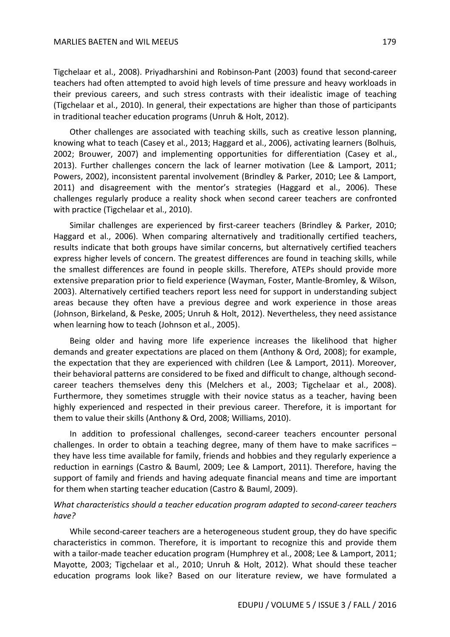Tigchelaar et al., 2008). Priyadharshini and Robinson-Pant (2003) found that second-career teachers had often attempted to avoid high levels of time pressure and heavy workloads in their previous careers, and such stress contrasts with their idealistic image of teaching (Tigchelaar et al., 2010). In general, their expectations are higher than those of participants in traditional teacher education programs (Unruh & Holt, 2012).

Other challenges are associated with teaching skills, such as creative lesson planning, knowing what to teach (Casey et al., 2013; Haggard et al., 2006), activating learners (Bolhuis, 2002; Brouwer, 2007) and implementing opportunities for differentiation (Casey et al., 2013). Further challenges concern the lack of learner motivation (Lee & Lamport, 2011; Powers, 2002), inconsistent parental involvement (Brindley & Parker, 2010; Lee & Lamport, 2011) and disagreement with the mentor's strategies (Haggard et al., 2006). These challenges regularly produce a reality shock when second career teachers are confronted with practice (Tigchelaar et al., 2010).

Similar challenges are experienced by first-career teachers (Brindley & Parker, 2010; Haggard et al., 2006). When comparing alternatively and traditionally certified teachers, results indicate that both groups have similar concerns, but alternatively certified teachers express higher levels of concern. The greatest differences are found in teaching skills, while the smallest differences are found in people skills. Therefore, ATEPs should provide more extensive preparation prior to field experience (Wayman, Foster, Mantle-Bromley, & Wilson, 2003). Alternatively certified teachers report less need for support in understanding subject areas because they often have a previous degree and work experience in those areas (Johnson, Birkeland, & Peske, 2005; Unruh & Holt, 2012). Nevertheless, they need assistance when learning how to teach (Johnson et al., 2005).

Being older and having more life experience increases the likelihood that higher demands and greater expectations are placed on them (Anthony & Ord, 2008); for example, the expectation that they are experienced with children (Lee & Lamport, 2011). Moreover, their behavioral patterns are considered to be fixed and difficult to change, although secondcareer teachers themselves deny this (Melchers et al., 2003; Tigchelaar et al., 2008). Furthermore, they sometimes struggle with their novice status as a teacher, having been highly experienced and respected in their previous career. Therefore, it is important for them to value their skills (Anthony & Ord, 2008; Williams, 2010).

In addition to professional challenges, second-career teachers encounter personal challenges. In order to obtain a teaching degree, many of them have to make sacrifices – they have less time available for family, friends and hobbies and they regularly experience a reduction in earnings (Castro & Bauml, 2009; Lee & Lamport, 2011). Therefore, having the support of family and friends and having adequate financial means and time are important for them when starting teacher education (Castro & Bauml, 2009).

### *What characteristics should a teacher education program adapted to second-career teachers have?*

While second-career teachers are a heterogeneous student group, they do have specific characteristics in common. Therefore, it is important to recognize this and provide them with a tailor-made teacher education program (Humphrey et al., 2008; Lee & Lamport, 2011; Mayotte, 2003; Tigchelaar et al., 2010; Unruh & Holt, 2012). What should these teacher education programs look like? Based on our literature review, we have formulated a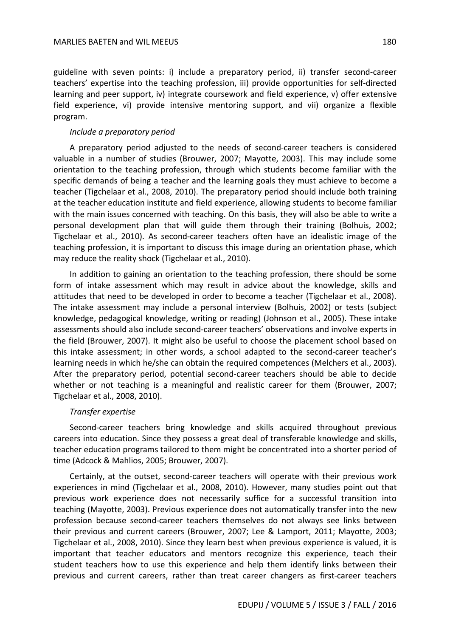guideline with seven points: i) include a preparatory period, ii) transfer second-career teachers' expertise into the teaching profession, iii) provide opportunities for self-directed learning and peer support, iv) integrate coursework and field experience, v) offer extensive field experience, vi) provide intensive mentoring support, and vii) organize a flexible program.

### *Include a preparatory period*

A preparatory period adjusted to the needs of second-career teachers is considered valuable in a number of studies (Brouwer, 2007; Mayotte, 2003). This may include some orientation to the teaching profession, through which students become familiar with the specific demands of being a teacher and the learning goals they must achieve to become a teacher (Tigchelaar et al., 2008, 2010). The preparatory period should include both training at the teacher education institute and field experience, allowing students to become familiar with the main issues concerned with teaching. On this basis, they will also be able to write a personal development plan that will guide them through their training (Bolhuis, 2002; Tigchelaar et al., 2010). As second-career teachers often have an idealistic image of the teaching profession, it is important to discuss this image during an orientation phase, which may reduce the reality shock (Tigchelaar et al., 2010).

In addition to gaining an orientation to the teaching profession, there should be some form of intake assessment which may result in advice about the knowledge, skills and attitudes that need to be developed in order to become a teacher (Tigchelaar et al., 2008). The intake assessment may include a personal interview (Bolhuis, 2002) or tests (subject knowledge, pedagogical knowledge, writing or reading) (Johnson et al., 2005). These intake assessments should also include second-career teachers' observations and involve experts in the field (Brouwer, 2007). It might also be useful to choose the placement school based on this intake assessment; in other words, a school adapted to the second-career teacher's learning needs in which he/she can obtain the required competences (Melchers et al., 2003). After the preparatory period, potential second-career teachers should be able to decide whether or not teaching is a meaningful and realistic career for them (Brouwer, 2007; Tigchelaar et al., 2008, 2010).

### *Transfer expertise*

Second-career teachers bring knowledge and skills acquired throughout previous careers into education. Since they possess a great deal of transferable knowledge and skills, teacher education programs tailored to them might be concentrated into a shorter period of time (Adcock & Mahlios, 2005; Brouwer, 2007).

Certainly, at the outset, second-career teachers will operate with their previous work experiences in mind (Tigchelaar et al., 2008, 2010). However, many studies point out that previous work experience does not necessarily suffice for a successful transition into teaching (Mayotte, 2003). Previous experience does not automatically transfer into the new profession because second-career teachers themselves do not always see links between their previous and current careers (Brouwer, 2007; Lee & Lamport, 2011; Mayotte, 2003; Tigchelaar et al., 2008, 2010). Since they learn best when previous experience is valued, it is important that teacher educators and mentors recognize this experience, teach their student teachers how to use this experience and help them identify links between their previous and current careers, rather than treat career changers as first-career teachers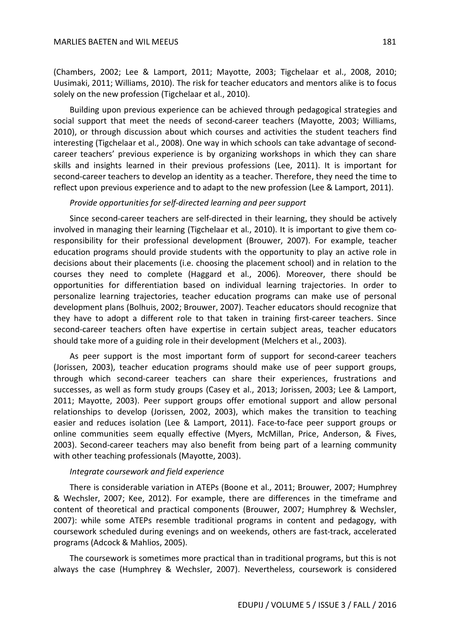(Chambers, 2002; Lee & Lamport, 2011; Mayotte, 2003; Tigchelaar et al., 2008, 2010; Uusimaki, 2011; Williams, 2010). The risk for teacher educators and mentors alike is to focus solely on the new profession (Tigchelaar et al., 2010).

Building upon previous experience can be achieved through pedagogical strategies and social support that meet the needs of second-career teachers (Mayotte, 2003; Williams, 2010), or through discussion about which courses and activities the student teachers find interesting (Tigchelaar et al., 2008). One way in which schools can take advantage of secondcareer teachers' previous experience is by organizing workshops in which they can share skills and insights learned in their previous professions (Lee, 2011). It is important for second-career teachers to develop an identity as a teacher. Therefore, they need the time to reflect upon previous experience and to adapt to the new profession (Lee & Lamport, 2011).

### *Provide opportunities for self-directed learning and peer support*

Since second-career teachers are self-directed in their learning, they should be actively involved in managing their learning (Tigchelaar et al., 2010). It is important to give them coresponsibility for their professional development (Brouwer, 2007). For example, teacher education programs should provide students with the opportunity to play an active role in decisions about their placements (i.e. choosing the placement school) and in relation to the courses they need to complete (Haggard et al., 2006). Moreover, there should be opportunities for differentiation based on individual learning trajectories. In order to personalize learning trajectories, teacher education programs can make use of personal development plans (Bolhuis, 2002; Brouwer, 2007). Teacher educators should recognize that they have to adopt a different role to that taken in training first-career teachers. Since second-career teachers often have expertise in certain subject areas, teacher educators should take more of a guiding role in their development (Melchers et al., 2003).

As peer support is the most important form of support for second-career teachers (Jorissen, 2003), teacher education programs should make use of peer support groups, through which second-career teachers can share their experiences, frustrations and successes, as well as form study groups (Casey et al., 2013; Jorissen, 2003; Lee & Lamport, 2011; Mayotte, 2003). Peer support groups offer emotional support and allow personal relationships to develop (Jorissen, 2002, 2003), which makes the transition to teaching easier and reduces isolation (Lee & Lamport, 2011). Face-to-face peer support groups or online communities seem equally effective (Myers, McMillan, Price, Anderson, & Fives, 2003). Second-career teachers may also benefit from being part of a learning community with other teaching professionals (Mayotte, 2003).

#### *Integrate coursework and field experience*

There is considerable variation in ATEPs (Boone et al., 2011; Brouwer, 2007; Humphrey & Wechsler, 2007; Kee, 2012). For example, there are differences in the timeframe and content of theoretical and practical components (Brouwer, 2007; Humphrey & Wechsler, 2007): while some ATEPs resemble traditional programs in content and pedagogy, with coursework scheduled during evenings and on weekends, others are fast-track, accelerated programs (Adcock & Mahlios, 2005).

The coursework is sometimes more practical than in traditional programs, but this is not always the case (Humphrey & Wechsler, 2007). Nevertheless, coursework is considered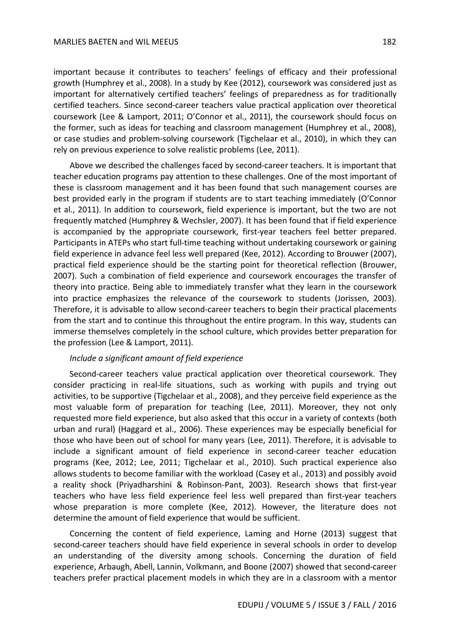important because it contributes to teachers' feelings of efficacy and their professional growth (Humphrey et al., 2008). In a study by Kee (2012), coursework was considered just as important for alternatively certified teachers' feelings of preparedness as for traditionally certified teachers. Since second-career teachers value practical application over theoretical coursework (Lee & Lamport, 2011; O'Connor et al., 2011), the coursework should focus on the former, such as ideas for teaching and classroom management (Humphrey et al., 2008), or case studies and problem-solving coursework (Tigchelaar et al., 2010), in which they can rely on previous experience to solve realistic problems (Lee, 2011).

Above we described the challenges faced by second-career teachers. It is important that teacher education programs pay attention to these challenges. One of the most important of these is classroom management and it has been found that such management courses are best provided early in the program if students are to start teaching immediately (O'Connor et al., 2011). In addition to coursework, field experience is important, but the two are not frequently matched (Humphrey & Wechsler, 2007). It has been found that if field experience is accompanied by the appropriate coursework, first-year teachers feel better prepared. Participants in ATEPs who start full-time teaching without undertaking coursework or gaining field experience in advance feel less well prepared (Kee, 2012). According to Brouwer (2007), practical field experience should be the starting point for theoretical reflection (Brouwer, 2007). Such a combination of field experience and coursework encourages the transfer of theory into practice. Being able to immediately transfer what they learn in the coursework into practice emphasizes the relevance of the coursework to students (Jorissen, 2003). Therefore, it is advisable to allow second-career teachers to begin their practical placements from the start and to continue this throughout the entire program. In this way, students can immerse themselves completely in the school culture, which provides better preparation for the profession (Lee & Lamport, 2011).

### *Include a significant amount of field experience*

Second-career teachers value practical application over theoretical coursework. They consider practicing in real-life situations, such as working with pupils and trying out activities, to be supportive (Tigchelaar et al., 2008), and they perceive field experience as the most valuable form of preparation for teaching (Lee, 2011). Moreover, they not only requested more field experience, but also asked that this occur in a variety of contexts (both urban and rural) (Haggard et al., 2006). These experiences may be especially beneficial for those who have been out of school for many years (Lee, 2011). Therefore, it is advisable to include a significant amount of field experience in second-career teacher education programs (Kee, 2012; Lee, 2011; Tigchelaar et al., 2010). Such practical experience also allows students to become familiar with the workload (Casey et al., 2013) and possibly avoid a reality shock (Priyadharshini & Robinson-Pant, 2003). Research shows that first-year teachers who have less field experience feel less well prepared than first-year teachers whose preparation is more complete (Kee, 2012). However, the literature does not determine the amount of field experience that would be sufficient.

Concerning the content of field experience, Laming and Horne (2013) suggest that second-career teachers should have field experience in several schools in order to develop an understanding of the diversity among schools. Concerning the duration of field experience, Arbaugh, Abell, Lannin, Volkmann, and Boone (2007) showed that second-career teachers prefer practical placement models in which they are in a classroom with a mentor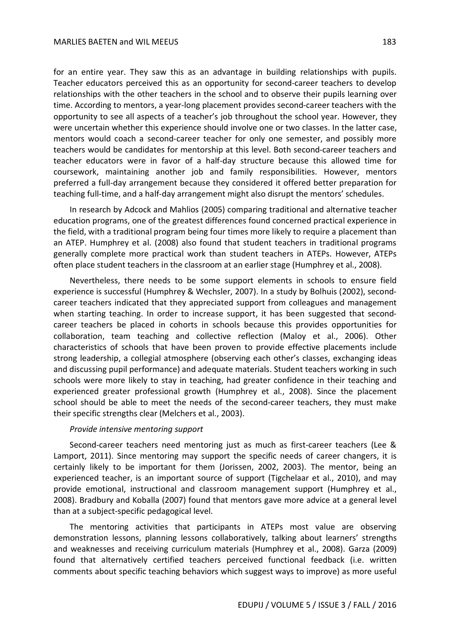for an entire year. They saw this as an advantage in building relationships with pupils. Teacher educators perceived this as an opportunity for second-career teachers to develop relationships with the other teachers in the school and to observe their pupils learning over time. According to mentors, a year-long placement provides second-career teachers with the opportunity to see all aspects of a teacher's job throughout the school year. However, they were uncertain whether this experience should involve one or two classes. In the latter case, mentors would coach a second-career teacher for only one semester, and possibly more teachers would be candidates for mentorship at this level. Both second-career teachers and teacher educators were in favor of a half-day structure because this allowed time for coursework, maintaining another job and family responsibilities. However, mentors preferred a full-day arrangement because they considered it offered better preparation for teaching full-time, and a half-day arrangement might also disrupt the mentors' schedules.

In research by Adcock and Mahlios (2005) comparing traditional and alternative teacher education programs, one of the greatest differences found concerned practical experience in the field, with a traditional program being four times more likely to require a placement than an ATEP. Humphrey et al. (2008) also found that student teachers in traditional programs generally complete more practical work than student teachers in ATEPs. However, ATEPs often place student teachers in the classroom at an earlier stage (Humphrey et al., 2008).

Nevertheless, there needs to be some support elements in schools to ensure field experience is successful (Humphrey & Wechsler, 2007). In a study by Bolhuis (2002), secondcareer teachers indicated that they appreciated support from colleagues and management when starting teaching. In order to increase support, it has been suggested that secondcareer teachers be placed in cohorts in schools because this provides opportunities for collaboration, team teaching and collective reflection (Maloy et al., 2006). Other characteristics of schools that have been proven to provide effective placements include strong leadership, a collegial atmosphere (observing each other's classes, exchanging ideas and discussing pupil performance) and adequate materials. Student teachers working in such schools were more likely to stay in teaching, had greater confidence in their teaching and experienced greater professional growth (Humphrey et al., 2008). Since the placement school should be able to meet the needs of the second-career teachers, they must make their specific strengths clear (Melchers et al., 2003).

#### *Provide intensive mentoring support*

Second-career teachers need mentoring just as much as first-career teachers (Lee & Lamport, 2011). Since mentoring may support the specific needs of career changers, it is certainly likely to be important for them (Jorissen, 2002, 2003). The mentor, being an experienced teacher, is an important source of support (Tigchelaar et al., 2010), and may provide emotional, instructional and classroom management support (Humphrey et al., 2008). Bradbury and Koballa (2007) found that mentors gave more advice at a general level than at a subject-specific pedagogical level.

The mentoring activities that participants in ATEPs most value are observing demonstration lessons, planning lessons collaboratively, talking about learners' strengths and weaknesses and receiving curriculum materials (Humphrey et al., 2008). Garza (2009) found that alternatively certified teachers perceived functional feedback (i.e. written comments about specific teaching behaviors which suggest ways to improve) as more useful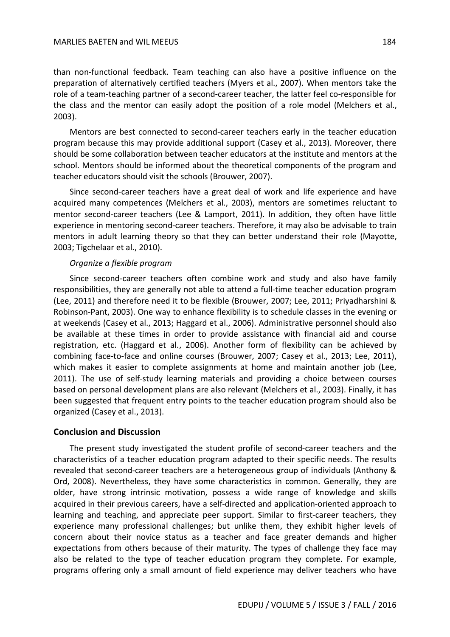than non-functional feedback. Team teaching can also have a positive influence on the preparation of alternatively certified teachers (Myers et al., 2007). When mentors take the role of a team-teaching partner of a second-career teacher, the latter feel co-responsible for the class and the mentor can easily adopt the position of a role model (Melchers et al., 2003).

Mentors are best connected to second-career teachers early in the teacher education program because this may provide additional support (Casey et al., 2013). Moreover, there should be some collaboration between teacher educators at the institute and mentors at the school. Mentors should be informed about the theoretical components of the program and teacher educators should visit the schools (Brouwer, 2007).

Since second-career teachers have a great deal of work and life experience and have acquired many competences (Melchers et al., 2003), mentors are sometimes reluctant to mentor second-career teachers (Lee & Lamport, 2011). In addition, they often have little experience in mentoring second-career teachers. Therefore, it may also be advisable to train mentors in adult learning theory so that they can better understand their role (Mayotte, 2003; Tigchelaar et al., 2010).

### *Organize a flexible program*

Since second-career teachers often combine work and study and also have family responsibilities, they are generally not able to attend a full-time teacher education program (Lee, 2011) and therefore need it to be flexible (Brouwer, 2007; Lee, 2011; Priyadharshini & Robinson-Pant, 2003). One way to enhance flexibility is to schedule classes in the evening or at weekends (Casey et al., 2013; Haggard et al., 2006). Administrative personnel should also be available at these times in order to provide assistance with financial aid and course registration, etc. (Haggard et al., 2006). Another form of flexibility can be achieved by combining face-to-face and online courses (Brouwer, 2007; Casey et al., 2013; Lee, 2011), which makes it easier to complete assignments at home and maintain another job (Lee, 2011). The use of self-study learning materials and providing a choice between courses based on personal development plans are also relevant (Melchers et al., 2003). Finally, it has been suggested that frequent entry points to the teacher education program should also be organized (Casey et al., 2013).

### **Conclusion and Discussion**

The present study investigated the student profile of second-career teachers and the characteristics of a teacher education program adapted to their specific needs. The results revealed that second-career teachers are a heterogeneous group of individuals (Anthony & Ord, 2008). Nevertheless, they have some characteristics in common. Generally, they are older, have strong intrinsic motivation, possess a wide range of knowledge and skills acquired in their previous careers, have a self-directed and application-oriented approach to learning and teaching, and appreciate peer support. Similar to first-career teachers, they experience many professional challenges; but unlike them, they exhibit higher levels of concern about their novice status as a teacher and face greater demands and higher expectations from others because of their maturity. The types of challenge they face may also be related to the type of teacher education program they complete. For example, programs offering only a small amount of field experience may deliver teachers who have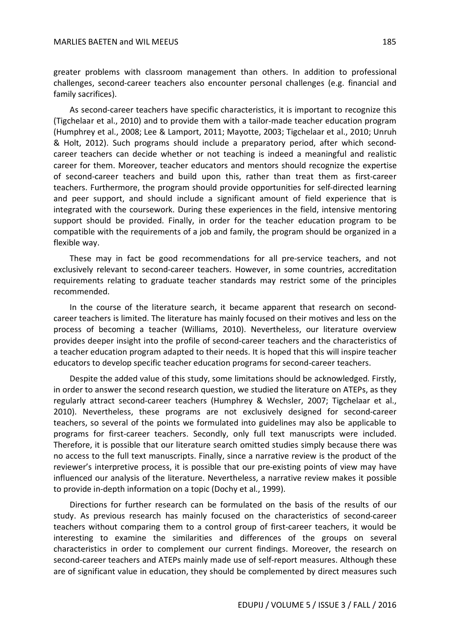greater problems with classroom management than others. In addition to professional challenges, second-career teachers also encounter personal challenges (e.g. financial and family sacrifices).

As second-career teachers have specific characteristics, it is important to recognize this (Tigchelaar et al., 2010) and to provide them with a tailor-made teacher education program (Humphrey et al., 2008; Lee & Lamport, 2011; Mayotte, 2003; Tigchelaar et al., 2010; Unruh & Holt, 2012). Such programs should include a preparatory period, after which secondcareer teachers can decide whether or not teaching is indeed a meaningful and realistic career for them. Moreover, teacher educators and mentors should recognize the expertise of second-career teachers and build upon this, rather than treat them as first-career teachers. Furthermore, the program should provide opportunities for self-directed learning and peer support, and should include a significant amount of field experience that is integrated with the coursework. During these experiences in the field, intensive mentoring support should be provided. Finally, in order for the teacher education program to be compatible with the requirements of a job and family, the program should be organized in a flexible way.

These may in fact be good recommendations for all pre-service teachers, and not exclusively relevant to second-career teachers. However, in some countries, accreditation requirements relating to graduate teacher standards may restrict some of the principles recommended.

In the course of the literature search, it became apparent that research on secondcareer teachers is limited. The literature has mainly focused on their motives and less on the process of becoming a teacher (Williams, 2010). Nevertheless, our literature overview provides deeper insight into the profile of second-career teachers and the characteristics of a teacher education program adapted to their needs. It is hoped that this will inspire teacher educators to develop specific teacher education programs for second-career teachers.

Despite the added value of this study, some limitations should be acknowledged. Firstly, in order to answer the second research question, we studied the literature on ATEPs, as they regularly attract second-career teachers (Humphrey & Wechsler, 2007; Tigchelaar et al., 2010). Nevertheless, these programs are not exclusively designed for second-career teachers, so several of the points we formulated into guidelines may also be applicable to programs for first-career teachers. Secondly, only full text manuscripts were included. Therefore, it is possible that our literature search omitted studies simply because there was no access to the full text manuscripts. Finally, since a narrative review is the product of the reviewer's interpretive process, it is possible that our pre-existing points of view may have influenced our analysis of the literature. Nevertheless, a narrative review makes it possible to provide in-depth information on a topic (Dochy et al., 1999).

Directions for further research can be formulated on the basis of the results of our study. As previous research has mainly focused on the characteristics of second-career teachers without comparing them to a control group of first-career teachers, it would be interesting to examine the similarities and differences of the groups on several characteristics in order to complement our current findings. Moreover, the research on second-career teachers and ATEPs mainly made use of self-report measures. Although these are of significant value in education, they should be complemented by direct measures such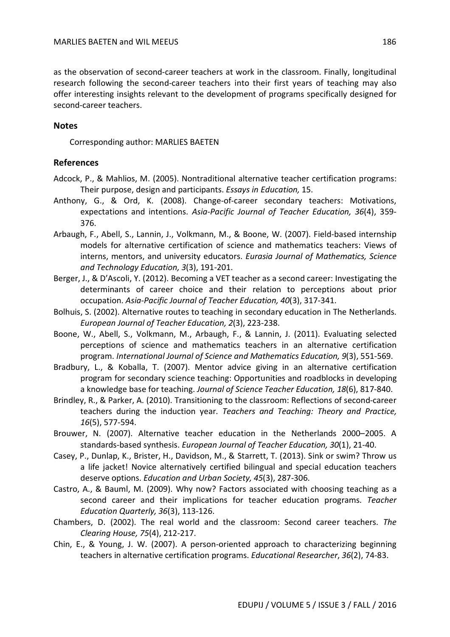as the observation of second-career teachers at work in the classroom. Finally, longitudinal research following the second-career teachers into their first years of teaching may also offer interesting insights relevant to the development of programs specifically designed for second-career teachers.

### **Notes**

Corresponding author: MARLIES BAETEN

### **References**

- Adcock, P., & Mahlios, M. (2005). Nontraditional alternative teacher certification programs: Their purpose, design and participants. *Essays in Education,* 15.
- Anthony, G., & Ord, K. (2008). Change-of-career secondary teachers: Motivations, expectations and intentions. *Asia-Pacific Journal of Teacher Education, 36*(4), 359- 376.
- Arbaugh, F., Abell, S., Lannin, J., Volkmann, M., & Boone, W. (2007). Field-based internship models for alternative certification of science and mathematics teachers: Views of interns, mentors, and university educators. *Eurasia Journal of Mathematics, Science and Technology Education, 3*(3), 191-201.
- Berger, J., & D'Ascoli, Y. (2012). Becoming a VET teacher as a second career: Investigating the determinants of career choice and their relation to perceptions about prior occupation. *Asia-Pacific Journal of Teacher Education, 40*(3), 317-341.
- Bolhuis, S. (2002). Alternative routes to teaching in secondary education in The Netherlands. *European Journal of Teacher Education, 2*(3), 223-238.
- Boone, W., Abell, S., Volkmann, M., Arbaugh, F., & Lannin, J. (2011). Evaluating selected perceptions of science and mathematics teachers in an alternative certification program. *International Journal of Science and Mathematics Education, 9*(3), 551-569.
- Bradbury, L., & Koballa, T. (2007). Mentor advice giving in an alternative certification program for secondary science teaching: Opportunities and roadblocks in developing a knowledge base for teaching. *Journal of Science Teacher Education, 18*(6), 817-840.
- Brindley, R., & Parker, A. (2010). Transitioning to the classroom: Reflections of second-career teachers during the induction year. *Teachers and Teaching: Theory and Practice, 16*(5), 577-594.
- Brouwer, N. (2007). Alternative teacher education in the Netherlands 2000–2005. A standards-based synthesis. *European Journal of Teacher Education, 30*(1), 21-40.
- Casey, P., Dunlap, K., Brister, H., Davidson, M., & Starrett, T. (2013). Sink or swim? Throw us a life jacket! Novice alternatively certified bilingual and special education teachers deserve options. *Education and Urban Society, 45*(3), 287-306.
- Castro, A., & Bauml, M. (2009). Why now? Factors associated with choosing teaching as a second career and their implications for teacher education programs. *Teacher Education Quarterly, 36*(3), 113-126.
- Chambers, D. (2002). The real world and the classroom: Second career teachers. *The Clearing House, 75*(4), 212-217.
- Chin, E., & Young, J. W. (2007). A person-oriented approach to characterizing beginning teachers in alternative certification programs. *Educational Researcher*, *36*(2), 74-83.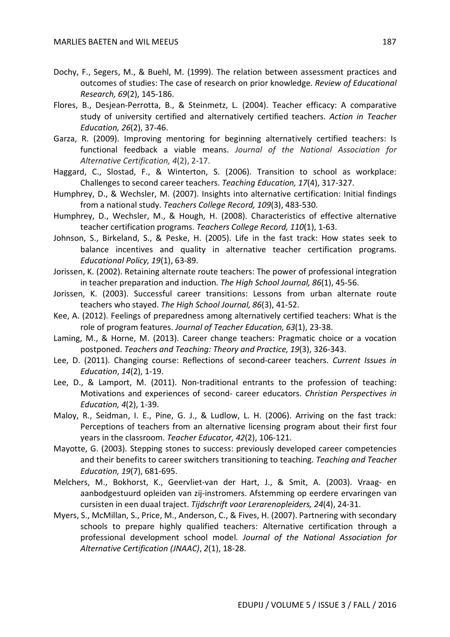- Dochy, F., Segers, M., & Buehl, M. (1999). The relation between assessment practices and outcomes of studies: The case of research on prior knowledge. *Review of Educational Research, 69*(2), 145-186.
- Flores, B., Desjean-Perrotta, B., & Steinmetz, L. (2004). Teacher efficacy: A comparative study of university certified and alternatively certified teachers. *Action in Teacher Education, 26*(2), 37-46.
- Garza, R. (2009). Improving mentoring for beginning alternatively certified teachers: Is functional feedback a viable means. *Journal of the National Association for Alternative Certification, 4*(2), 2-17.
- Haggard, C., Slostad, F., & Winterton, S. (2006). Transition to school as workplace: Challenges to second career teachers. *Teaching Education, 17*(4), 317-327.
- Humphrey, D., & Wechsler, M. (2007). Insights into alternative certification: Initial findings from a national study. *Teachers College Record, 109*(3), 483-530.
- Humphrey, D., Wechsler, M., & Hough, H. (2008). Characteristics of effective alternative teacher certification programs. *Teachers College Record, 110*(1), 1-63.
- Johnson, S., Birkeland, S., & Peske, H. (2005). Life in the fast track: How states seek to balance incentives and quality in alternative teacher certification programs. *Educational Policy, 19*(1), 63-89.
- Jorissen, K. (2002). Retaining alternate route teachers: The power of professional integration in teacher preparation and induction. *The High School Journal, 86*(1), 45-56.
- Jorissen, K. (2003). Successful career transitions: Lessons from urban alternate route teachers who stayed. *The High School Journal, 86*(3), 41-52.
- Kee, A. (2012). Feelings of preparedness among alternatively certified teachers: What is the role of program features. *Journal of Teacher Education, 63*(1), 23-38.
- Laming, M., & Horne, M. (2013). Career change teachers: Pragmatic choice or a vocation postponed. *Teachers and Teaching: Theory and Practice, 19*(3), 326-343.
- Lee, D. (2011). Changing course: Reflections of second-career teachers. *Current Issues in Education*, *14*(2), 1-19.
- Lee, D., & Lamport, M. (2011). Non-traditional entrants to the profession of teaching: Motivations and experiences of second- career educators. *Christian Perspectives in Education, 4*(2), 1-39.
- Maloy, R., Seidman, I. E., Pine, G. J., & Ludlow, L. H. (2006). Arriving on the fast track: Perceptions of teachers from an alternative licensing program about their first four years in the classroom. *Teacher Educator, 42*(2), 106-121.
- Mayotte, G. (2003). Stepping stones to success: previously developed career competencies and their benefits to career switchers transitioning to teaching. *Teaching and Teacher Education, 19*(7), 681-695.
- Melchers, M., Bokhorst, K., Geervliet-van der Hart, J., & Smit, A. (2003). Vraag- en aanbodgestuurd opleiden van zij-instromers. Afstemming op eerdere ervaringen van cursisten in een duaal traject. *Tijdschrift voor Lerarenopleiders, 24*(4), 24-31.
- Myers, S., McMillan, S., Price, M., Anderson, C., & Fives, H. (2007). Partnering with secondary schools to prepare highly qualified teachers: Alternative certification through a professional development school model. *Journal of the National Association for Alternative Certification (JNAAC)*, *2*(1), 18-28.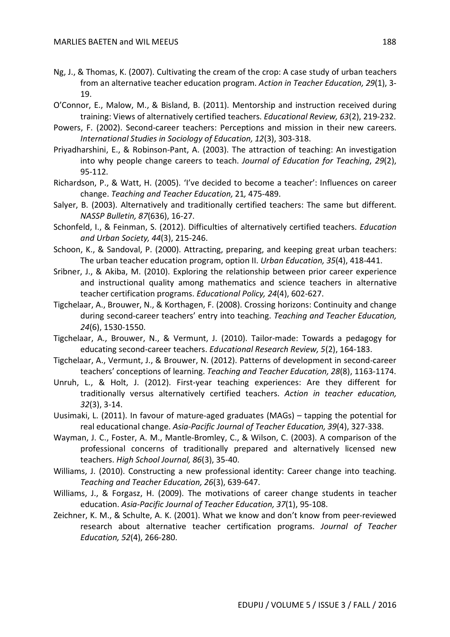- Ng, J., & Thomas, K. (2007). Cultivating the cream of the crop: A case study of urban teachers from an alternative teacher education program. *Action in Teacher Education, 29*(1), 3- 19.
- O'Connor, E., Malow, M., & Bisland, B. (2011). Mentorship and instruction received during training: Views of alternatively certified teachers. *Educational Review, 63*(2), 219-232.
- Powers, F. (2002). Second-career teachers: Perceptions and mission in their new careers. *International Studies in Sociology of Education, 12*(3), 303-318.
- Priyadharshini, E., & Robinson-Pant, A. (2003). The attraction of teaching: An investigation into why people change careers to teach. *Journal of Education for Teaching*, *29*(2), 95-112.
- Richardson, P., & Watt, H. (2005). 'I've decided to become a teacher': Influences on career change. *Teaching and Teacher Education,* 21*,* 475-489.
- Salyer, B. (2003). Alternatively and traditionally certified teachers: The same but different. *NASSP Bulletin, 87*(636), 16-27.
- Schonfeld, I., & Feinman, S. (2012). Difficulties of alternatively certified teachers. *Education and Urban Society, 44*(3), 215-246.
- Schoon, K., & Sandoval, P. (2000). Attracting, preparing, and keeping great urban teachers: The urban teacher education program, option II. *Urban Education, 35*(4), 418-441.
- Sribner, J., & Akiba, M. (2010). Exploring the relationship between prior career experience and instructional quality among mathematics and science teachers in alternative teacher certification programs. *Educational Policy, 24*(4), 602-627.
- Tigchelaar, A., Brouwer, N., & Korthagen, F. (2008). Crossing horizons: Continuity and change during second-career teachers' entry into teaching. *Teaching and Teacher Education, 24*(6), 1530-1550.
- Tigchelaar, A., Brouwer, N., & Vermunt, J. (2010). Tailor-made: Towards a pedagogy for educating second-career teachers. *Educational Research Review, 5*(2), 164-183.
- Tigchelaar, A., Vermunt, J., & Brouwer, N. (2012). Patterns of development in second-career teachers' conceptions of learning. *Teaching and Teacher Education, 28*(8), 1163-1174.
- Unruh, L., & Holt, J. (2012). First-year teaching experiences: Are they different for traditionally versus alternatively certified teachers. *Action in teacher education, 32*(3), 3-14.
- Uusimaki, L. (2011). In favour of mature-aged graduates (MAGs) tapping the potential for real educational change. *Asia-Pacific Journal of Teacher Education, 39*(4), 327-338.
- Wayman, J. C., Foster, A. M., Mantle-Bromley, C., & Wilson, C. (2003). A comparison of the professional concerns of traditionally prepared and alternatively licensed new teachers. *High School Journal, 86*(3), 35-40.
- Williams, J. (2010). Constructing a new professional identity: Career change into teaching. *Teaching and Teacher Education, 26*(3), 639-647.
- Williams, J., & Forgasz, H. (2009). The motivations of career change students in teacher education. *Asia-Pacific Journal of Teacher Education, 37*(1), 95-108.
- Zeichner, K. M., & Schulte, A. K. (2001). What we know and don't know from peer-reviewed research about alternative teacher certification programs. *Journal of Teacher Education, 52*(4), 266-280.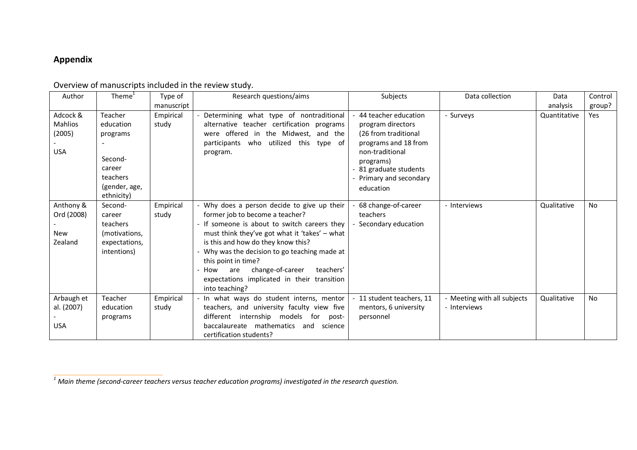# **Appendix**

| Author                                             | Theme <sup>1</sup>                                                                               | Type of            | Research questions/aims                                                                                                                                                                                                                                                                                                                                                                                      | Subjects                                                                                                                                                                                  | Data collection                             | Data         | Control   |
|----------------------------------------------------|--------------------------------------------------------------------------------------------------|--------------------|--------------------------------------------------------------------------------------------------------------------------------------------------------------------------------------------------------------------------------------------------------------------------------------------------------------------------------------------------------------------------------------------------------------|-------------------------------------------------------------------------------------------------------------------------------------------------------------------------------------------|---------------------------------------------|--------------|-----------|
|                                                    |                                                                                                  | manuscript         |                                                                                                                                                                                                                                                                                                                                                                                                              |                                                                                                                                                                                           |                                             | analysis     | group?    |
| Adcock &<br><b>Mahlios</b><br>(2005)<br><b>USA</b> | Teacher<br>education<br>programs<br>Second-<br>career<br>teachers<br>(gender, age,<br>ethnicity) | Empirical<br>study | Determining what type of nontraditional<br>alternative teacher certification programs<br>were offered in the Midwest, and the<br>participants who utilized this type of<br>program.                                                                                                                                                                                                                          | 44 teacher education<br>program directors<br>(26 from traditional<br>programs and 18 from<br>non-traditional<br>programs)<br>- 81 graduate students<br>Primary and secondary<br>education | - Surveys                                   | Quantitative | Yes       |
| Anthony &<br>Ord (2008)<br>New<br>Zealand          | Second-<br>career<br>teachers<br>(motivations,<br>expectations,<br>intentions)                   | Empirical<br>study | - Why does a person decide to give up their<br>former job to become a teacher?<br>- If someone is about to switch careers they<br>must think they've got what it 'takes' - what<br>is this and how do they know this?<br>- Why was the decision to go teaching made at<br>this point in time?<br>change-of-career<br>teachers'<br>- How are<br>expectations implicated in their transition<br>into teaching? | 68 change-of-career<br>teachers<br>Secondary education                                                                                                                                    | - Interviews                                | Qualitative  | <b>No</b> |
| Arbaugh et<br>al. (2007)<br><b>USA</b>             | Teacher<br>education<br>programs                                                                 | Empirical<br>study | - In what ways do student interns, mentor<br>teachers, and university faculty view five<br>different<br>internship models for<br>post-<br>baccalaureate mathematics<br>and science<br>certification students?                                                                                                                                                                                                | - 11 student teachers, 11<br>mentors, 6 university<br>personnel                                                                                                                           | - Meeting with all subjects<br>- Interviews | Qualitative  | <b>No</b> |

Overview of manuscripts included in the review study.

 *<sup>1</sup> Main theme (second-career teachers versus teacher education programs) investigated in the research question.*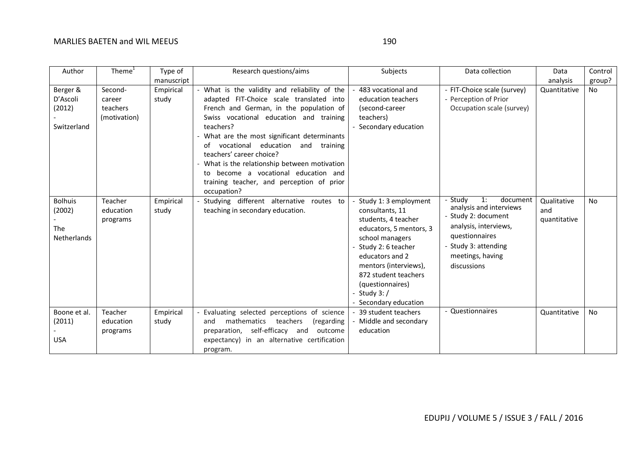| Author                                                       | Theme $1$                                     | Type of            | Research questions/aims                                                                                                                                                                                                                                                                                                                                                                                                                                                  | Subjects                                                                                                                                                                                                                                                           | Data collection                                                                                                                                                                   | Data                               | Control   |
|--------------------------------------------------------------|-----------------------------------------------|--------------------|--------------------------------------------------------------------------------------------------------------------------------------------------------------------------------------------------------------------------------------------------------------------------------------------------------------------------------------------------------------------------------------------------------------------------------------------------------------------------|--------------------------------------------------------------------------------------------------------------------------------------------------------------------------------------------------------------------------------------------------------------------|-----------------------------------------------------------------------------------------------------------------------------------------------------------------------------------|------------------------------------|-----------|
|                                                              |                                               | manuscript         |                                                                                                                                                                                                                                                                                                                                                                                                                                                                          |                                                                                                                                                                                                                                                                    |                                                                                                                                                                                   | analysis                           | group?    |
| Berger &<br>D'Ascoli<br>(2012)<br>Switzerland                | Second-<br>career<br>teachers<br>(motivation) | Empirical<br>study | - What is the validity and reliability of the<br>adapted FIT-Choice scale translated into<br>French and German, in the population of<br>Swiss vocational education and training<br>teachers?<br>- What are the most significant determinants<br>vocational education and training<br>of<br>teachers' career choice?<br>- What is the relationship between motivation<br>to become a vocational education and<br>training teacher, and perception of prior<br>occupation? | 483 vocational and<br>education teachers<br>(second-career<br>teachers)<br>Secondary education                                                                                                                                                                     | - FIT-Choice scale (survey)<br>- Perception of Prior<br>Occupation scale (survey)                                                                                                 | Quantitative                       | <b>No</b> |
| <b>Bolhuis</b><br>(2002)<br><b>The</b><br><b>Netherlands</b> | Teacher<br>education<br>programs              | Empirical<br>study | - Studying different alternative routes to<br>teaching in secondary education.                                                                                                                                                                                                                                                                                                                                                                                           | Study 1: 3 employment<br>consultants, 11<br>students, 4 teacher<br>educators, 5 mentors, 3<br>school managers<br>Study 2: 6 teacher<br>educators and 2<br>mentors (interviews),<br>872 student teachers<br>(questionnaires)<br>Study $3: /$<br>Secondary education | - Studv<br>1:<br>document<br>analysis and interviews<br>- Study 2: document<br>analysis, interviews,<br>questionnaires<br>- Study 3: attending<br>meetings, having<br>discussions | Qualitative<br>and<br>quantitative | <b>No</b> |
| Boone et al.<br>(2011)<br><b>USA</b>                         | Teacher<br>education<br>programs              | Empirical<br>study | Evaluating selected perceptions of science<br>mathematics<br>teachers<br>(regarding<br>and<br>preparation, self-efficacy and<br>outcome<br>expectancy) in an alternative certification<br>program.                                                                                                                                                                                                                                                                       | 39 student teachers<br>Middle and secondary<br>education                                                                                                                                                                                                           | - Questionnaires                                                                                                                                                                  | Quantitative                       | <b>No</b> |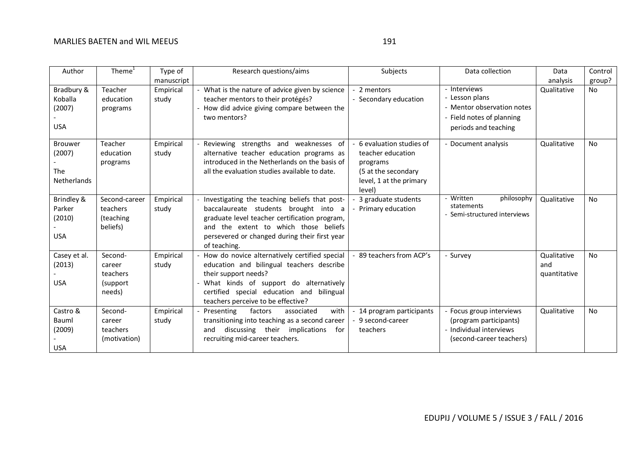| Author                                                | Theme <sup>1</sup>                                  | Type of                          | Research questions/aims                                                                                                                                                                                                                           | Subjects                                                                                                             | Data collection                                                                                                   | Data                               | Control             |
|-------------------------------------------------------|-----------------------------------------------------|----------------------------------|---------------------------------------------------------------------------------------------------------------------------------------------------------------------------------------------------------------------------------------------------|----------------------------------------------------------------------------------------------------------------------|-------------------------------------------------------------------------------------------------------------------|------------------------------------|---------------------|
| Bradbury &<br>Koballa<br>(2007)<br><b>USA</b>         | Teacher<br>education<br>programs                    | manuscript<br>Empirical<br>study | - What is the nature of advice given by science<br>teacher mentors to their protégés?<br>- How did advice giving compare between the<br>two mentors?                                                                                              | 2 mentors<br>- Secondary education                                                                                   | - Interviews<br>- Lesson plans<br>- Mentor observation notes<br>- Field notes of planning<br>periods and teaching | analysis<br>Qualitative            | group?<br><b>No</b> |
| <b>Brouwer</b><br>(2007)<br>The<br><b>Netherlands</b> | Teacher<br>education<br>programs                    | Empirical<br>study               | Reviewing strengths and weaknesses of<br>alternative teacher education programs as<br>introduced in the Netherlands on the basis of<br>all the evaluation studies available to date.                                                              | 6 evaluation studies of<br>teacher education<br>programs<br>(5 at the secondary<br>level, 1 at the primary<br>level) | - Document analysis                                                                                               | Qualitative                        | <b>No</b>           |
| Brindley &<br>Parker<br>(2010)<br><b>USA</b>          | Second-career<br>teachers<br>(teaching<br>beliefs)  | Empirical<br>study               | Investigating the teaching beliefs that post-<br>baccalaureate students brought into a<br>graduate level teacher certification program,<br>and the extent to which those beliefs<br>persevered or changed during their first year<br>of teaching. | 3 graduate students<br>Primary education                                                                             | - Written<br>philosophy<br>statements<br>Semi-structured interviews                                               | Qualitative                        | <b>No</b>           |
| Casey et al.<br>(2013)<br><b>USA</b>                  | Second-<br>career<br>teachers<br>(support<br>needs) | Empirical<br>study               | How do novice alternatively certified special<br>education and bilingual teachers describe<br>their support needs?<br>What kinds of support do alternatively<br>certified special education and bilingual<br>teachers perceive to be effective?   | - 89 teachers from ACP's                                                                                             | - Survey                                                                                                          | Qualitative<br>and<br>quantitative | <b>No</b>           |
| Castro &<br>Bauml<br>(2009)<br><b>USA</b>             | Second-<br>career<br>teachers<br>(motivation)       | Empirical<br>study               | Presenting<br>factors<br>with<br>associated<br>transitioning into teaching as a second career<br>discussing their implications<br>for<br>and<br>recruiting mid-career teachers.                                                                   | 14 program participants<br>- 9 second-career<br>teachers                                                             | - Focus group interviews<br>(program participants)<br>- Individual interviews<br>(second-career teachers)         | Qualitative                        | <b>No</b>           |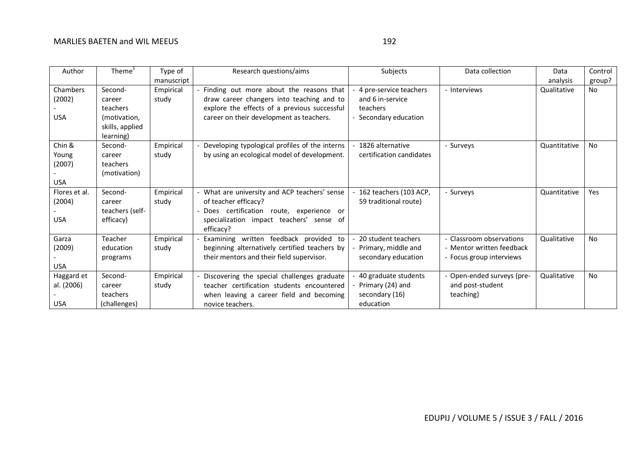| Author        | Theme <sup>+</sup> | Type of    | Research questions/aims                               | Subjects                 | Data collection           | Data         | Control   |
|---------------|--------------------|------------|-------------------------------------------------------|--------------------------|---------------------------|--------------|-----------|
|               |                    | manuscript |                                                       |                          |                           | analysis     | group?    |
| Chambers      | Second-            | Empirical  | Finding out more about the reasons that               | 4 pre-service teachers   | - Interviews              | Qualitative  | <b>No</b> |
| (2002)        | career             | study      | draw career changers into teaching and to             | and 6 in-service         |                           |              |           |
|               | teachers           |            | explore the effects of a previous successful          | teachers                 |                           |              |           |
| <b>USA</b>    | (motivation,       |            | career on their development as teachers.              | Secondary education      |                           |              |           |
|               | skills, applied    |            |                                                       |                          |                           |              |           |
|               | learning)          |            |                                                       |                          |                           |              |           |
| Chin &        | Second-            | Empirical  | Developing typological profiles of the interns        | 1826 alternative         | - Surveys                 | Quantitative | <b>No</b> |
| Young         | career             | study      | by using an ecological model of development.          | certification candidates |                           |              |           |
| (2007)        | teachers           |            |                                                       |                          |                           |              |           |
|               | (motivation)       |            |                                                       |                          |                           |              |           |
| <b>USA</b>    |                    |            |                                                       |                          |                           |              |           |
| Flores et al. | Second-            | Empirical  | - What are university and ACP teachers' sense         | 162 teachers (103 ACP,   | - Surveys                 | Quantitative | Yes       |
| (2004)        | career             | study      | of teacher efficacy?                                  | 59 traditional route)    |                           |              |           |
|               | teachers (self-    |            | Does certification route, experience or               |                          |                           |              |           |
| <b>USA</b>    | efficacy)          |            | specialization impact teachers' sense of<br>efficacy? |                          |                           |              |           |
| Garza         | Teacher            | Empirical  | Examining written feedback provided to                | 20 student teachers      | Classroom observations    | Qualitative  | <b>No</b> |
| (2009)        | education          | study      | beginning alternatively certified teachers by         | Primary, middle and      | - Mentor written feedback |              |           |
|               | programs           |            | their mentors and their field supervisor.             | secondary education      | - Focus group interviews  |              |           |
| USA           |                    |            |                                                       |                          |                           |              |           |
| Haggard et    | Second-            | Empirical  | Discovering the special challenges graduate           | 40 graduate students     | Open-ended surveys (pre-  | Qualitative  | <b>No</b> |
| al. (2006)    | career             | study      | teacher certification students encountered            | Primary (24) and         | and post-student          |              |           |
|               | teachers           |            | when leaving a career field and becoming              | secondary (16)           | teaching)                 |              |           |
| <b>USA</b>    | (challenges)       |            | novice teachers.                                      | education                |                           |              |           |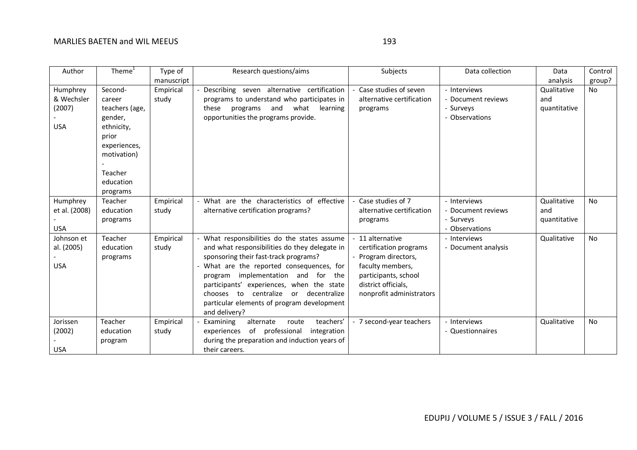| Author                                         | Theme $1$                                                                                                                                | Type of            | Research questions/aims                                                                                                                                                                                                                                                                                                                                                                | Subjects                                                                                                                                                      | Data collection                                                   | Data                               | Control   |
|------------------------------------------------|------------------------------------------------------------------------------------------------------------------------------------------|--------------------|----------------------------------------------------------------------------------------------------------------------------------------------------------------------------------------------------------------------------------------------------------------------------------------------------------------------------------------------------------------------------------------|---------------------------------------------------------------------------------------------------------------------------------------------------------------|-------------------------------------------------------------------|------------------------------------|-----------|
|                                                |                                                                                                                                          | manuscript         |                                                                                                                                                                                                                                                                                                                                                                                        |                                                                                                                                                               |                                                                   | analysis                           | group?    |
| Humphrey<br>& Wechsler<br>(2007)<br><b>USA</b> | Second-<br>career<br>teachers (age,<br>gender,<br>ethnicity,<br>prior<br>experiences,<br>motivation)<br>Teacher<br>education<br>programs | Empirical<br>study | Describing seven alternative certification<br>programs to understand who participates in<br>and<br>what<br>these<br>programs<br>learning<br>opportunities the programs provide.                                                                                                                                                                                                        | Case studies of seven<br>alternative certification<br>programs                                                                                                | - Interviews<br>- Document reviews<br>- Surveys<br>- Observations | Qualitative<br>and<br>quantitative | No        |
| Humphrey<br>et al. (2008)<br><b>USA</b>        | Teacher<br>education<br>programs                                                                                                         | Empirical<br>study | What are the characteristics of effective<br>alternative certification programs?                                                                                                                                                                                                                                                                                                       | Case studies of 7<br>alternative certification<br>programs                                                                                                    | - Interviews<br>- Document reviews<br>- Surveys<br>- Observations | Qualitative<br>and<br>quantitative | <b>No</b> |
| Johnson et<br>al. (2005)<br><b>USA</b>         | Teacher<br>education<br>programs                                                                                                         | Empirical<br>study | What responsibilities do the states assume<br>and what responsibilities do they delegate in<br>sponsoring their fast-track programs?<br>What are the reported consequences, for<br>implementation and for<br>the<br>program<br>participants' experiences, when the state<br>centralize<br>or decentralize<br>chooses to<br>particular elements of program development<br>and delivery? | 11 alternative<br>certification programs<br>Program directors,<br>faculty members,<br>participants, school<br>district officials,<br>nonprofit administrators | - Interviews<br>- Document analysis                               | Qualitative                        | <b>No</b> |
| Jorissen<br>(2002)<br><b>USA</b>               | Teacher<br>education<br>program                                                                                                          | Empirical<br>study | teachers'<br>Examining<br>alternate<br>route<br>of professional<br>integration<br>experiences<br>during the preparation and induction years of<br>their careers.                                                                                                                                                                                                                       | - 7 second-year teachers                                                                                                                                      | - Interviews<br>- Questionnaires                                  | Qualitative                        | <b>No</b> |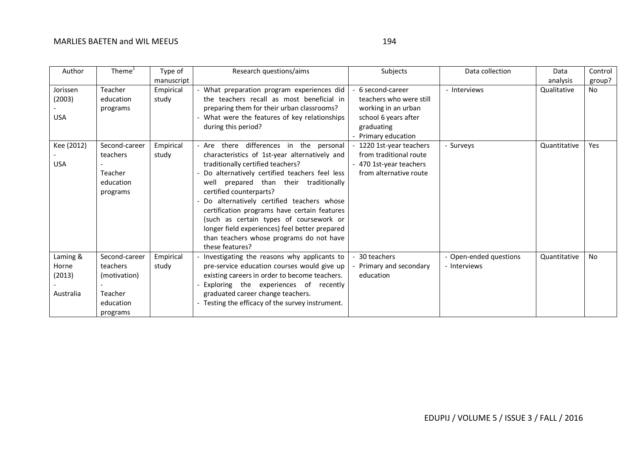| ×<br>۰. |  |
|---------|--|

| Author     | Theme <sup>1</sup> | Type of    | Research questions/aims                          | Subjects                | Data collection        | Data         | Control    |
|------------|--------------------|------------|--------------------------------------------------|-------------------------|------------------------|--------------|------------|
|            |                    | manuscript |                                                  |                         |                        | analysis     | group?     |
| Jorissen   | Teacher            | Empirical  | - What preparation program experiences did       | 6 second-career         | - Interviews           | Qualitative  | No.        |
| (2003)     | education          | study      | the teachers recall as most beneficial in        | teachers who were still |                        |              |            |
|            | programs           |            | preparing them for their urban classrooms?       | working in an urban     |                        |              |            |
| <b>USA</b> |                    |            | - What were the features of key relationships    | school 6 years after    |                        |              |            |
|            |                    |            | during this period?                              | graduating              |                        |              |            |
|            |                    |            |                                                  | Primary education       |                        |              |            |
| Kee (2012) | Second-career      | Empirical  | - Are there differences in the personal          | 1220 1st-year teachers  | - Surveys              | Quantitative | <b>Yes</b> |
|            | teachers           | study      | characteristics of 1st-year alternatively and    | from traditional route  |                        |              |            |
| <b>USA</b> |                    |            | traditionally certified teachers?                | - 470 1st-year teachers |                        |              |            |
|            | Teacher            |            | Do alternatively certified teachers feel less    | from alternative route  |                        |              |            |
|            | education          |            | prepared than their traditionally<br>well        |                         |                        |              |            |
|            | programs           |            | certified counterparts?                          |                         |                        |              |            |
|            |                    |            | Do alternatively certified teachers whose        |                         |                        |              |            |
|            |                    |            | certification programs have certain features     |                         |                        |              |            |
|            |                    |            | (such as certain types of coursework or          |                         |                        |              |            |
|            |                    |            | longer field experiences) feel better prepared   |                         |                        |              |            |
|            |                    |            | than teachers whose programs do not have         |                         |                        |              |            |
|            |                    |            | these features?                                  |                         |                        |              |            |
| Laming &   | Second-career      | Empirical  | Investigating the reasons why applicants to      | 30 teachers             | - Open-ended questions | Quantitative | <b>No</b>  |
| Horne      | teachers           | study      | pre-service education courses would give up      | Primary and secondary   | - Interviews           |              |            |
| (2013)     | (motivation)       |            | existing careers in order to become teachers.    | education               |                        |              |            |
|            |                    |            | Exploring the experiences of recently            |                         |                        |              |            |
| Australia  | Teacher            |            | graduated career change teachers.                |                         |                        |              |            |
|            | education          |            | - Testing the efficacy of the survey instrument. |                         |                        |              |            |
|            | programs           |            |                                                  |                         |                        |              |            |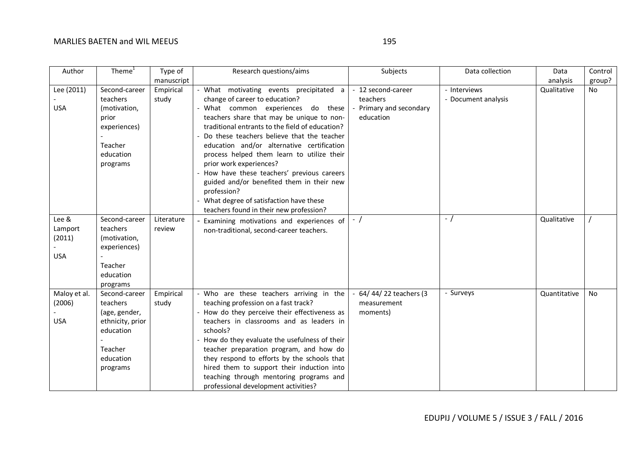| Author       | Theme <sup>1</sup> | Type of    | Research questions/aims                         | Subjects              | Data collection     | Data         | Control   |
|--------------|--------------------|------------|-------------------------------------------------|-----------------------|---------------------|--------------|-----------|
|              |                    | manuscript |                                                 |                       |                     | analysis     | group?    |
| Lee (2011)   | Second-career      | Empirical  | - What motivating events precipitated a         | - 12 second-career    | - Interviews        | Qualitative  | <b>No</b> |
|              | teachers           | study      | change of career to education?                  | teachers              | - Document analysis |              |           |
| <b>USA</b>   | (motivation,       |            | What common experiences do these                | Primary and secondary |                     |              |           |
|              | prior              |            | teachers share that may be unique to non-       | education             |                     |              |           |
|              | experiences)       |            | traditional entrants to the field of education? |                       |                     |              |           |
|              |                    |            | Do these teachers believe that the teacher      |                       |                     |              |           |
|              | Teacher            |            | education and/or alternative certification      |                       |                     |              |           |
|              | education          |            | process helped them learn to utilize their      |                       |                     |              |           |
|              | programs           |            | prior work experiences?                         |                       |                     |              |           |
|              |                    |            | How have these teachers' previous careers       |                       |                     |              |           |
|              |                    |            | guided and/or benefited them in their new       |                       |                     |              |           |
|              |                    |            | profession?                                     |                       |                     |              |           |
|              |                    |            | - What degree of satisfaction have these        |                       |                     |              |           |
|              |                    |            | teachers found in their new profession?         |                       |                     |              |           |
| Lee &        | Second-career      | Literature | Examining motivations and experiences of        | $-$ /                 | $-$ /               | Qualitative  |           |
| Lamport      | teachers           | review     | non-traditional, second-career teachers.        |                       |                     |              |           |
| (2011)       | (motivation,       |            |                                                 |                       |                     |              |           |
| <b>USA</b>   | experiences)       |            |                                                 |                       |                     |              |           |
|              | Teacher            |            |                                                 |                       |                     |              |           |
|              | education          |            |                                                 |                       |                     |              |           |
|              | programs           |            |                                                 |                       |                     |              |           |
| Maloy et al. | Second-career      | Empirical  | - Who are these teachers arriving in the        | 64/44/22 teachers (3  | - Surveys           | Quantitative | No        |
| (2006)       | teachers           | study      | teaching profession on a fast track?            | measurement           |                     |              |           |
|              | (age, gender,      |            | How do they perceive their effectiveness as     | moments)              |                     |              |           |
| <b>USA</b>   | ethnicity, prior   |            | teachers in classrooms and as leaders in        |                       |                     |              |           |
|              | education          |            | schools?                                        |                       |                     |              |           |
|              |                    |            | How do they evaluate the usefulness of their    |                       |                     |              |           |
|              | Teacher            |            | teacher preparation program, and how do         |                       |                     |              |           |
|              | education          |            | they respond to efforts by the schools that     |                       |                     |              |           |
|              | programs           |            | hired them to support their induction into      |                       |                     |              |           |
|              |                    |            | teaching through mentoring programs and         |                       |                     |              |           |
|              |                    |            | professional development activities?            |                       |                     |              |           |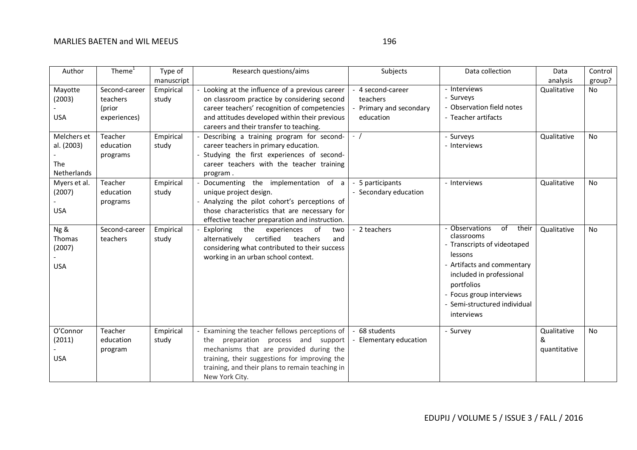| .                       |  |
|-------------------------|--|
| ×<br>۰.<br>w<br>۰.<br>× |  |

| Author            | Thene <sup>1</sup> | Type of            | Research questions/aims                                                                       | Subjects              | Data collection               | Data         | Control   |
|-------------------|--------------------|--------------------|-----------------------------------------------------------------------------------------------|-----------------------|-------------------------------|--------------|-----------|
|                   | Second-career      | manuscript         |                                                                                               | 4 second-career       | - Interviews                  | analysis     | group?    |
| Mayotte<br>(2003) | teachers           | Empirical<br>study | Looking at the influence of a previous career<br>on classroom practice by considering second  | teachers              | - Surveys                     | Qualitative  | <b>No</b> |
|                   | (prior             |                    | career teachers' recognition of competencies                                                  | Primary and secondary | Observation field notes       |              |           |
| <b>USA</b>        | experiences)       |                    | and attitudes developed within their previous                                                 | education             | - Teacher artifacts           |              |           |
|                   |                    |                    | careers and their transfer to teaching.                                                       |                       |                               |              |           |
| Melchers et       | Teacher            | Empirical          | Describing a training program for second-                                                     | $-$ /                 | - Surveys                     | Qualitative  | <b>No</b> |
| al. (2003)        | education          | study              | career teachers in primary education.                                                         |                       | - Interviews                  |              |           |
|                   | programs           |                    | Studying the first experiences of second-                                                     |                       |                               |              |           |
| The               |                    |                    | career teachers with the teacher training                                                     |                       |                               |              |           |
| Netherlands       |                    |                    | program.                                                                                      |                       |                               |              |           |
| Myers et al.      | Teacher            | Empirical          | Documenting the implementation of a                                                           | 5 participants        | - Interviews                  | Qualitative  | <b>No</b> |
| (2007)            | education          | study              | unique project design.                                                                        | - Secondary education |                               |              |           |
| <b>USA</b>        | programs           |                    | - Analyzing the pilot cohort's perceptions of<br>those characteristics that are necessary for |                       |                               |              |           |
|                   |                    |                    | effective teacher preparation and instruction.                                                |                       |                               |              |           |
| Ng &              | Second-career      | Empirical          | Exploring<br>the<br>of<br>experiences<br>two                                                  | - 2 teachers          | - Observations<br>their<br>of | Qualitative  | <b>No</b> |
| Thomas            | teachers           | study              | certified<br>alternatively<br>teachers<br>and                                                 |                       | classrooms                    |              |           |
| (2007)            |                    |                    | considering what contributed to their success                                                 |                       | - Transcripts of videotaped   |              |           |
|                   |                    |                    | working in an urban school context.                                                           |                       | lessons                       |              |           |
| <b>USA</b>        |                    |                    |                                                                                               |                       | - Artifacts and commentary    |              |           |
|                   |                    |                    |                                                                                               |                       | included in professional      |              |           |
|                   |                    |                    |                                                                                               |                       | portfolios                    |              |           |
|                   |                    |                    |                                                                                               |                       | - Focus group interviews      |              |           |
|                   |                    |                    |                                                                                               |                       | Semi-structured individual    |              |           |
|                   |                    |                    |                                                                                               |                       | interviews                    |              |           |
| O'Connor          | Teacher            | Empirical          | Examining the teacher fellows perceptions of                                                  | - 68 students         | - Survey                      | Qualitative  | <b>No</b> |
| (2011)            | education          | study              | the preparation process and support                                                           | Elementary education  |                               | &            |           |
|                   | program            |                    | mechanisms that are provided during the                                                       |                       |                               | quantitative |           |
| <b>USA</b>        |                    |                    | training, their suggestions for improving the                                                 |                       |                               |              |           |
|                   |                    |                    | training, and their plans to remain teaching in                                               |                       |                               |              |           |
|                   |                    |                    | New York City.                                                                                |                       |                               |              |           |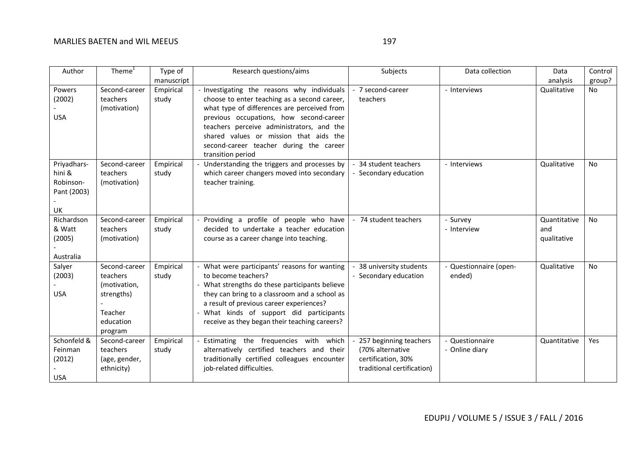| Author                                                  | Theme <sup>1</sup>                                                                         | Type of            | Research questions/aims                                                                                                                                                                                                                                                                                                                      | Subjects                                                                                       | Data collection                   | Data                               | Control   |
|---------------------------------------------------------|--------------------------------------------------------------------------------------------|--------------------|----------------------------------------------------------------------------------------------------------------------------------------------------------------------------------------------------------------------------------------------------------------------------------------------------------------------------------------------|------------------------------------------------------------------------------------------------|-----------------------------------|------------------------------------|-----------|
|                                                         |                                                                                            | manuscript         |                                                                                                                                                                                                                                                                                                                                              |                                                                                                |                                   | analysis                           | group?    |
| Powers<br>(2002)<br><b>USA</b>                          | Second-career<br>teachers<br>(motivation)                                                  | Empirical<br>study | - Investigating the reasons why individuals<br>choose to enter teaching as a second career,<br>what type of differences are perceived from<br>previous occupations, how second-career<br>teachers perceive administrators, and the<br>shared values or mission that aids the<br>second-career teacher during the career<br>transition period | - 7 second-career<br>teachers                                                                  | - Interviews                      | Qualitative                        | <b>No</b> |
| Priyadhars-<br>hini &<br>Robinson-<br>Pant (2003)<br>UK | Second-career<br>teachers<br>(motivation)                                                  | Empirical<br>study | Understanding the triggers and processes by<br>which career changers moved into secondary<br>teacher training.                                                                                                                                                                                                                               | - 34 student teachers<br>- Secondary education                                                 | - Interviews                      | Qualitative                        | No        |
| Richardson<br>& Watt<br>(2005)<br>Australia             | Second-career<br>teachers<br>(motivation)                                                  | Empirical<br>study | Providing a profile of people who have<br>decided to undertake a teacher education<br>course as a career change into teaching.                                                                                                                                                                                                               | - 74 student teachers                                                                          | - Survey<br>- Interview           | Quantitative<br>and<br>qualitative | <b>No</b> |
| Salyer<br>(2003)<br><b>USA</b>                          | Second-career<br>teachers<br>(motivation,<br>strengths)<br>Teacher<br>education<br>program | Empirical<br>study | - What were participants' reasons for wanting<br>to become teachers?<br>- What strengths do these participants believe<br>they can bring to a classroom and a school as<br>a result of previous career experiences?<br>- What kinds of support did participants<br>receive as they began their teaching careers?                             | 38 university students<br>- Secondary education                                                | - Questionnaire (open-<br>ended)  | Qualitative                        | <b>No</b> |
| Schonfeld &<br>Feinman<br>(2012)<br><b>USA</b>          | Second-career<br>teachers<br>(age, gender,<br>ethnicity)                                   | Empirical<br>study | Estimating the frequencies with which<br>alternatively certified teachers and their<br>traditionally certified colleagues encounter<br>job-related difficulties.                                                                                                                                                                             | 257 beginning teachers<br>(70% alternative<br>certification, 30%<br>traditional certification) | - Questionnaire<br>- Online diary | Quantitative                       | Yes       |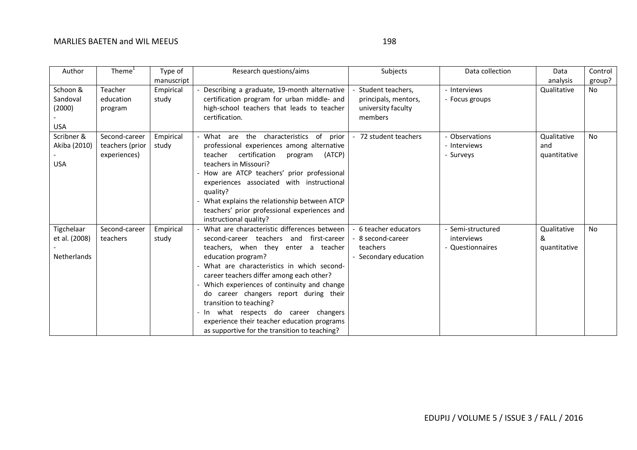| Author               | Theme $1$            | Type of            | Research questions/aims                                                                    | Subjects                                   | Data collection   | Data         | Control   |
|----------------------|----------------------|--------------------|--------------------------------------------------------------------------------------------|--------------------------------------------|-------------------|--------------|-----------|
|                      |                      | manuscript         |                                                                                            |                                            |                   | analysis     | group?    |
| Schoon &<br>Sandoval | Teacher<br>education | Empirical<br>study | Describing a graduate, 19-month alternative<br>certification program for urban middle- and | Student teachers,                          | - Interviews      | Qualitative  | No.       |
| (2000)               | program              |                    | high-school teachers that leads to teacher                                                 | principals, mentors,<br>university faculty | - Focus groups    |              |           |
|                      |                      |                    | certification.                                                                             | members                                    |                   |              |           |
| <b>USA</b>           |                      |                    |                                                                                            |                                            |                   |              |           |
| Scribner &           | Second-career        | Empirical          | of<br>- What are the characteristics<br>prior                                              | 72 student teachers                        | - Observations    | Qualitative  | <b>No</b> |
| Akiba (2010)         | teachers (prior      | study              | professional experiences among alternative                                                 |                                            | - Interviews      | and          |           |
| <b>USA</b>           | experiences)         |                    | certification<br>(ATCP)<br>teacher<br>program<br>teachers in Missouri?                     |                                            | - Surveys         | quantitative |           |
|                      |                      |                    | How are ATCP teachers' prior professional                                                  |                                            |                   |              |           |
|                      |                      |                    | experiences associated with instructional                                                  |                                            |                   |              |           |
|                      |                      |                    | quality?<br>What explains the relationship between ATCP                                    |                                            |                   |              |           |
|                      |                      |                    | teachers' prior professional experiences and                                               |                                            |                   |              |           |
|                      |                      |                    | instructional quality?                                                                     |                                            |                   |              |           |
| Tigchelaar           | Second-career        | Empirical          | - What are characteristic differences between                                              | 6 teacher educators                        | - Semi-structured | Qualitative  | <b>No</b> |
| et al. (2008)        | teachers             | study              | second-career teachers and first-career                                                    | 8 second-career                            | interviews        | &            |           |
|                      |                      |                    | teachers, when they enter a teacher                                                        | teachers                                   | - Questionnaires  | quantitative |           |
| Netherlands          |                      |                    | education program?                                                                         | Secondary education                        |                   |              |           |
|                      |                      |                    | What are characteristics in which second-                                                  |                                            |                   |              |           |
|                      |                      |                    | career teachers differ among each other?<br>Which experiences of continuity and change     |                                            |                   |              |           |
|                      |                      |                    | do career changers report during their                                                     |                                            |                   |              |           |
|                      |                      |                    | transition to teaching?                                                                    |                                            |                   |              |           |
|                      |                      |                    | - In what respects do career changers                                                      |                                            |                   |              |           |
|                      |                      |                    | experience their teacher education programs                                                |                                            |                   |              |           |
|                      |                      |                    | as supportive for the transition to teaching?                                              |                                            |                   |              |           |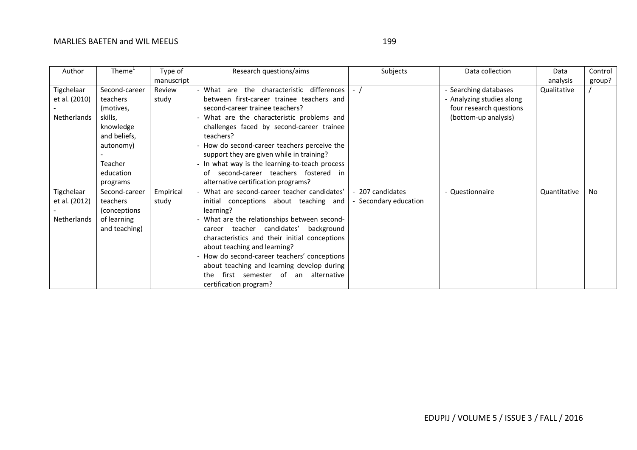| ×<br>I<br>۰.<br>×<br>۰.<br>× |  |
|------------------------------|--|

| Author             | Theme <sup>1</sup> | Type of    | Research questions/aims                        | Subjects            | Data collection           | Data         | Control   |
|--------------------|--------------------|------------|------------------------------------------------|---------------------|---------------------------|--------------|-----------|
|                    |                    | manuscript |                                                |                     |                           | analysis     | group?    |
| Tigchelaar         | Second-career      | Review     | - What are the characteristic differences      | $-$ /               | Searching databases       | Qualitative  |           |
| et al. (2010)      | teachers           | study      | between first-career trainee teachers and      |                     | - Analyzing studies along |              |           |
|                    | (motives,          |            | second-career trainee teachers?                |                     | four research questions   |              |           |
| <b>Netherlands</b> | skills,            |            | - What are the characteristic problems and     |                     | (bottom-up analysis)      |              |           |
|                    | knowledge          |            | challenges faced by second-career trainee      |                     |                           |              |           |
|                    | and beliefs,       |            | teachers?                                      |                     |                           |              |           |
|                    | autonomy)          |            | - How do second-career teachers perceive the   |                     |                           |              |           |
|                    |                    |            | support they are given while in training?      |                     |                           |              |           |
|                    | Teacher            |            | In what way is the learning-to-teach process   |                     |                           |              |           |
|                    | education          |            | second-career teachers fostered in<br>of       |                     |                           |              |           |
|                    | programs           |            | alternative certification programs?            |                     |                           |              |           |
| Tigchelaar         | Second-career      | Empirical  | - What are second-career teacher candidates'   | 207 candidates      | - Questionnaire           | Quantitative | <b>No</b> |
| et al. (2012)      | teachers           | study      | initial conceptions about teaching and         | Secondary education |                           |              |           |
|                    | (conceptions)      |            | learning?                                      |                     |                           |              |           |
| Netherlands        | of learning        |            | - What are the relationships between second-   |                     |                           |              |           |
|                    | and teaching)      |            | teacher candidates'<br>background<br>career    |                     |                           |              |           |
|                    |                    |            | characteristics and their initial conceptions  |                     |                           |              |           |
|                    |                    |            | about teaching and learning?                   |                     |                           |              |           |
|                    |                    |            | How do second-career teachers' conceptions     |                     |                           |              |           |
|                    |                    |            | about teaching and learning develop during     |                     |                           |              |           |
|                    |                    |            | first semester of<br>alternative<br>an<br>the. |                     |                           |              |           |
|                    |                    |            | certification program?                         |                     |                           |              |           |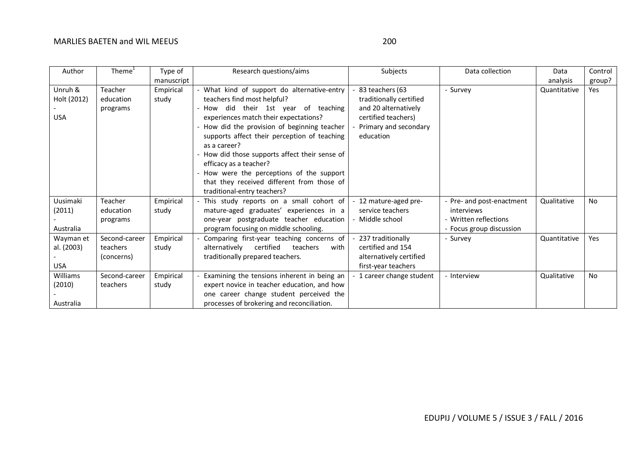| Author                                | Theme $1$                               | Type of            | Research questions/aims                                                                                                                                                                                                                                                                                                                                                                                                                                                         | Subjects                                                                                                                        | Data collection                                                                              | Data         | Control   |
|---------------------------------------|-----------------------------------------|--------------------|---------------------------------------------------------------------------------------------------------------------------------------------------------------------------------------------------------------------------------------------------------------------------------------------------------------------------------------------------------------------------------------------------------------------------------------------------------------------------------|---------------------------------------------------------------------------------------------------------------------------------|----------------------------------------------------------------------------------------------|--------------|-----------|
|                                       |                                         | manuscript         |                                                                                                                                                                                                                                                                                                                                                                                                                                                                                 |                                                                                                                                 |                                                                                              | analysis     | group?    |
| Unruh &<br>Holt (2012)<br><b>USA</b>  | Teacher<br>education<br>programs        | Empirical<br>study | - What kind of support do alternative-entry<br>teachers find most helpful?<br>How did their 1st year of teaching<br>experiences match their expectations?<br>- How did the provision of beginning teacher<br>supports affect their perception of teaching<br>as a career?<br>- How did those supports affect their sense of<br>efficacy as a teacher?<br>- How were the perceptions of the support<br>that they received different from those of<br>traditional-entry teachers? | 83 teachers (63<br>traditionally certified<br>and 20 alternatively<br>certified teachers)<br>Primary and secondary<br>education | - Survey                                                                                     | Quantitative | Yes       |
| Uusimaki<br>(2011)<br>Australia       | Teacher<br>education<br>programs        | Empirical<br>study | - This study reports on a small cohort of<br>mature-aged graduates' experiences in a<br>one-year postgraduate teacher education<br>program focusing on middle schooling.                                                                                                                                                                                                                                                                                                        | 12 mature-aged pre-<br>service teachers<br>Middle school                                                                        | - Pre- and post-enactment<br>interviews<br>- Written reflections<br>- Focus group discussion | Qualitative  | <b>No</b> |
| Wayman et<br>al. (2003)<br><b>USA</b> | Second-career<br>teachers<br>(concerns) | Empirical<br>study | Comparing first-year teaching concerns of<br>certified<br>teachers<br>alternatively<br>with<br>traditionally prepared teachers.                                                                                                                                                                                                                                                                                                                                                 | 237 traditionally<br>certified and 154<br>alternatively certified<br>first-year teachers                                        | - Survev                                                                                     | Quantitative | Yes       |
| Williams<br>(2010)<br>Australia       | Second-career<br>teachers               | Empirical<br>study | Examining the tensions inherent in being an<br>expert novice in teacher education, and how<br>one career change student perceived the<br>processes of brokering and reconciliation.                                                                                                                                                                                                                                                                                             | 1 career change student                                                                                                         | - Interview                                                                                  | Qualitative  | No        |